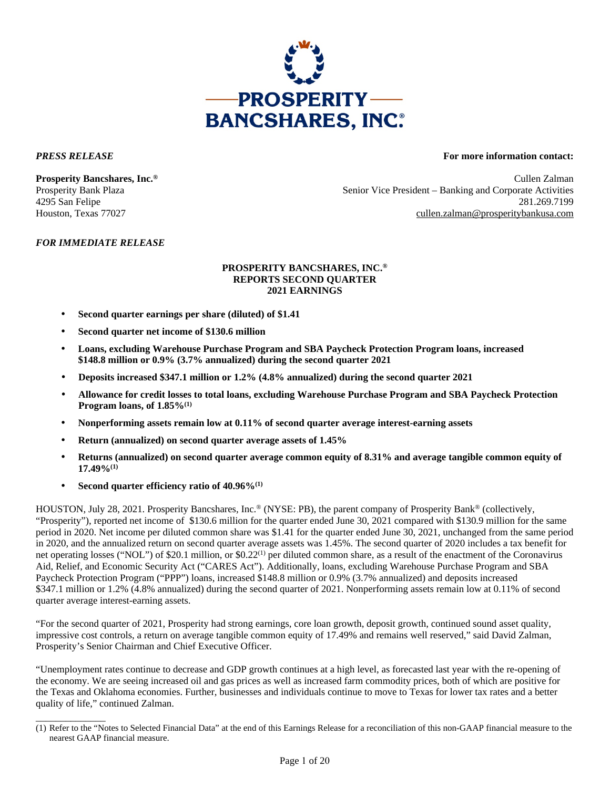

\_\_\_\_\_\_\_\_\_\_\_\_\_\_

### *PRESS RELEASE* **For more information contact:**

**Prosperity Bancshares, Inc.®** Cullen Zalman Prosperity Bank Plaza Senior Vice President – Banking and Corporate Activities 4295 San Felipe 281.269.7199 Houston, Texas 77027 cullen.zalman@prosperitybankusa.com

### *FOR IMMEDIATE RELEASE*

### **PROSPERITY BANCSHARES, INC.® REPORTS SECOND QUARTER 2021 EARNINGS**

- **Second quarter earnings per share (diluted) of \$1.41**
- **Second quarter net income of \$130.6 million**
- **Loans, excluding Warehouse Purchase Program and SBA Paycheck Protection Program loans, increased \$148.8 million or 0.9% (3.7% annualized) during the second quarter 2021**
- **Deposits increased \$347.1 million or 1.2% (4.8% annualized) during the second quarter 2021**
- **Allowance for credit losses to total loans, excluding Warehouse Purchase Program and SBA Paycheck Protection Program loans, of 1.85%(1)**
- **Nonperforming assets remain low at 0.11% of second quarter average interest-earning assets**
- **Return (annualized) on second quarter average assets of 1.45%**
- **Returns (annualized) on second quarter average common equity of 8.31% and average tangible common equity of 17.49%(1)**
- **Second quarter efficiency ratio of 40.96%(1)**

HOUSTON, July 28, 2021. Prosperity Bancshares, Inc.® (NYSE: PB), the parent company of Prosperity Bank® (collectively, "Prosperity"), reported net income of \$130.6 million for the quarter ended June 30, 2021 compared with \$130.9 million for the same period in 2020. Net income per diluted common share was \$1.41 for the quarter ended June 30, 2021, unchanged from the same period in 2020, and the annualized return on second quarter average assets was 1.45%. The second quarter of 2020 includes a tax benefit for net operating losses ("NOL") of \$20.1 million, or \$0.22<sup>(1)</sup> per diluted common share, as a result of the enactment of the Coronavirus Aid, Relief, and Economic Security Act ("CARES Act"). Additionally, loans, excluding Warehouse Purchase Program and SBA Paycheck Protection Program ("PPP") loans, increased \$148.8 million or 0.9% (3.7% annualized) and deposits increased \$347.1 million or 1.2% (4.8% annualized) during the second quarter of 2021. Nonperforming assets remain low at 0.11% of second quarter average interest-earning assets.

"For the second quarter of 2021, Prosperity had strong earnings, core loan growth, deposit growth, continued sound asset quality, impressive cost controls, a return on average tangible common equity of 17.49% and remains well reserved," said David Zalman, Prosperity's Senior Chairman and Chief Executive Officer.

"Unemployment rates continue to decrease and GDP growth continues at a high level, as forecasted last year with the re-opening of the economy. We are seeing increased oil and gas prices as well as increased farm commodity prices, both of which are positive for the Texas and Oklahoma economies. Further, businesses and individuals continue to move to Texas for lower tax rates and a better quality of life," continued Zalman.

<sup>(1)</sup> Refer to the "Notes to Selected Financial Data" at the end of this Earnings Release for a reconciliation of this non-GAAP financial measure to the nearest GAAP financial measure.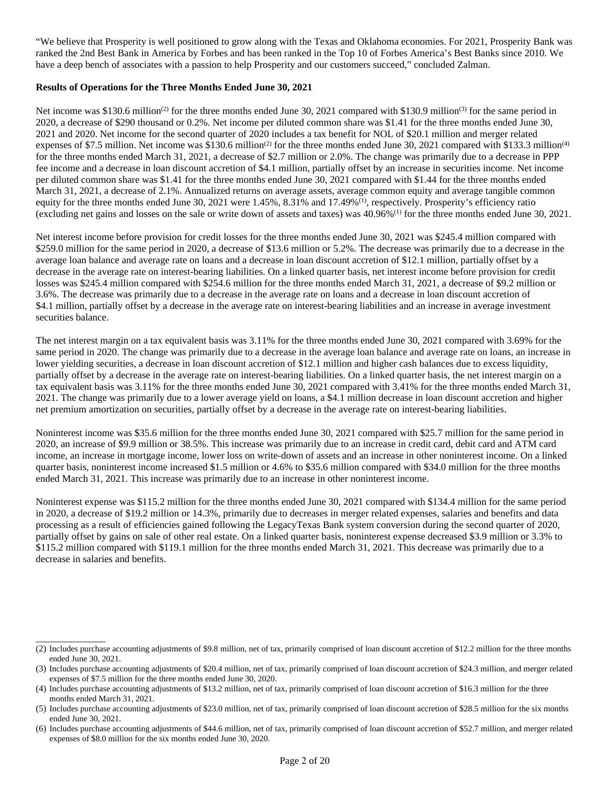"We believe that Prosperity is well positioned to grow along with the Texas and Oklahoma economies. For 2021, Prosperity Bank was ranked the 2nd Best Bank in America by Forbes and has been ranked in the Top 10 of Forbes America's Best Banks since 2010. We have a deep bench of associates with a passion to help Prosperity and our customers succeed," concluded Zalman.

### **Results of Operations for the Three Months Ended June 30, 2021**

\_\_\_\_\_\_\_\_\_\_\_\_\_\_

Net income was \$130.6 million<sup>(2)</sup> for the three months ended June 30, 2021 compared with \$130.9 million<sup>(3)</sup> for the same period in 2020, a decrease of \$290 thousand or 0.2%. Net income per diluted common share was \$1.41 for the three months ended June 30, 2021 and 2020. Net income for the second quarter of 2020 includes a tax benefit for NOL of \$20.1 million and merger related expenses of \$7.5 million. Net income was \$130.6 million<sup>(2)</sup> for the three months ended June 30, 2021 compared with \$133.3 million<sup>(4)</sup> for the three months ended March 31, 2021, a decrease of \$2.7 million or 2.0%. The change was primarily due to a decrease in PPP fee income and a decrease in loan discount accretion of \$4.1 million, partially offset by an increase in securities income. Net income per diluted common share was \$1.41 for the three months ended June 30, 2021 compared with \$1.44 for the three months ended March 31, 2021, a decrease of 2.1%. Annualized returns on average assets, average common equity and average tangible common equity for the three months ended June 30, 2021 were 1.45%, 8.31% and 17.49%<sup>(1)</sup>, respectively. Prosperity's efficiency ratio (excluding net gains and losses on the sale or write down of assets and taxes) was 40.96%(1) for the three months ended June 30, 2021.

Net interest income before provision for credit losses for the three months ended June 30, 2021 was \$245.4 million compared with \$259.0 million for the same period in 2020, a decrease of \$13.6 million or 5.2%. The decrease was primarily due to a decrease in the average loan balance and average rate on loans and a decrease in loan discount accretion of \$12.1 million, partially offset by a decrease in the average rate on interest-bearing liabilities. On a linked quarter basis, net interest income before provision for credit losses was \$245.4 million compared with \$254.6 million for the three months ended March 31, 2021, a decrease of \$9.2 million or 3.6%. The decrease was primarily due to a decrease in the average rate on loans and a decrease in loan discount accretion of \$4.1 million, partially offset by a decrease in the average rate on interest-bearing liabilities and an increase in average investment securities balance.

The net interest margin on a tax equivalent basis was 3.11% for the three months ended June 30, 2021 compared with 3.69% for the same period in 2020. The change was primarily due to a decrease in the average loan balance and average rate on loans, an increase in lower yielding securities, a decrease in loan discount accretion of \$12.1 million and higher cash balances due to excess liquidity, partially offset by a decrease in the average rate on interest-bearing liabilities. On a linked quarter basis, the net interest margin on a tax equivalent basis was 3.11% for the three months ended June 30, 2021 compared with 3.41% for the three months ended March 31, 2021. The change was primarily due to a lower average yield on loans, a \$4.1 million decrease in loan discount accretion and higher net premium amortization on securities, partially offset by a decrease in the average rate on interest-bearing liabilities.

Noninterest income was \$35.6 million for the three months ended June 30, 2021 compared with \$25.7 million for the same period in 2020, an increase of \$9.9 million or 38.5%. This increase was primarily due to an increase in credit card, debit card and ATM card income, an increase in mortgage income, lower loss on write-down of assets and an increase in other noninterest income. On a linked quarter basis, noninterest income increased \$1.5 million or 4.6% to \$35.6 million compared with \$34.0 million for the three months ended March 31, 2021. This increase was primarily due to an increase in other noninterest income.

Noninterest expense was \$115.2 million for the three months ended June 30, 2021 compared with \$134.4 million for the same period in 2020, a decrease of \$19.2 million or 14.3%, primarily due to decreases in merger related expenses, salaries and benefits and data processing as a result of efficiencies gained following the LegacyTexas Bank system conversion during the second quarter of 2020, partially offset by gains on sale of other real estate. On a linked quarter basis, noninterest expense decreased \$3.9 million or 3.3% to \$115.2 million compared with \$119.1 million for the three months ended March 31, 2021. This decrease was primarily due to a decrease in salaries and benefits.

<sup>(2)</sup> Includes purchase accounting adjustments of \$9.8 million, net of tax, primarily comprised of loan discount accretion of \$12.2 million for the three months ended June 30, 2021.

<sup>(3)</sup> Includes purchase accounting adjustments of \$20.4 million, net of tax, primarily comprised of loan discount accretion of \$24.3 million, and merger related expenses of \$7.5 million for the three months ended June 30, 2020.

<sup>(4)</sup> Includes purchase accounting adjustments of \$13.2 million, net of tax, primarily comprised of loan discount accretion of \$16.3 million for the three months ended March 31, 2021.

<sup>(5)</sup> Includes purchase accounting adjustments of \$23.0 million, net of tax, primarily comprised of loan discount accretion of \$28.5 million for the six months ended June 30, 2021.

<sup>(6)</sup> Includes purchase accounting adjustments of \$44.6 million, net of tax, primarily comprised of loan discount accretion of \$52.7 million, and merger related expenses of \$8.0 million for the six months ended June 30, 2020.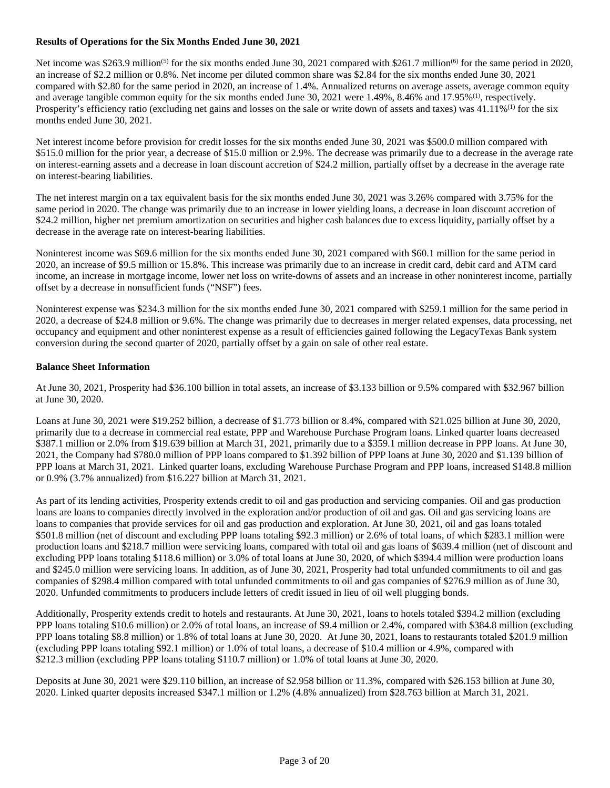## **Results of Operations for the Six Months Ended June 30, 2021**

Net income was \$263.9 million<sup>(5)</sup> for the six months ended June 30, 2021 compared with \$261.7 million<sup>(6)</sup> for the same period in 2020, an increase of \$2.2 million or 0.8%. Net income per diluted common share was \$2.84 for the six months ended June 30, 2021 compared with \$2.80 for the same period in 2020, an increase of 1.4%. Annualized returns on average assets, average common equity and average tangible common equity for the six months ended June 30, 2021 were  $1.49\%$ ,  $8.46\%$  and  $17.95\%$ <sup>(1)</sup>, respectively. Prosperity's efficiency ratio (excluding net gains and losses on the sale or write down of assets and taxes) was 41.11%<sup>(1)</sup> for the six months ended June 30, 2021.

Net interest income before provision for credit losses for the six months ended June 30, 2021 was \$500.0 million compared with \$515.0 million for the prior year, a decrease of \$15.0 million or 2.9%. The decrease was primarily due to a decrease in the average rate on interest-earning assets and a decrease in loan discount accretion of \$24.2 million, partially offset by a decrease in the average rate on interest-bearing liabilities.

The net interest margin on a tax equivalent basis for the six months ended June 30, 2021 was 3.26% compared with 3.75% for the same period in 2020. The change was primarily due to an increase in lower yielding loans, a decrease in loan discount accretion of \$24.2 million, higher net premium amortization on securities and higher cash balances due to excess liquidity, partially offset by a decrease in the average rate on interest-bearing liabilities.

Noninterest income was \$69.6 million for the six months ended June 30, 2021 compared with \$60.1 million for the same period in 2020, an increase of \$9.5 million or 15.8%. This increase was primarily due to an increase in credit card, debit card and ATM card income, an increase in mortgage income, lower net loss on write-downs of assets and an increase in other noninterest income, partially offset by a decrease in nonsufficient funds ("NSF") fees.

Noninterest expense was \$234.3 million for the six months ended June 30, 2021 compared with \$259.1 million for the same period in 2020, a decrease of \$24.8 million or 9.6%. The change was primarily due to decreases in merger related expenses, data processing, net occupancy and equipment and other noninterest expense as a result of efficiencies gained following the LegacyTexas Bank system conversion during the second quarter of 2020, partially offset by a gain on sale of other real estate.

### **Balance Sheet Information**

At June 30, 2021, Prosperity had \$36.100 billion in total assets, an increase of \$3.133 billion or 9.5% compared with \$32.967 billion at June 30, 2020.

Loans at June 30, 2021 were \$19.252 billion, a decrease of \$1.773 billion or 8.4%, compared with \$21.025 billion at June 30, 2020, primarily due to a decrease in commercial real estate, PPP and Warehouse Purchase Program loans. Linked quarter loans decreased \$387.1 million or 2.0% from \$19.639 billion at March 31, 2021, primarily due to a \$359.1 million decrease in PPP loans. At June 30, 2021, the Company had \$780.0 million of PPP loans compared to \$1.392 billion of PPP loans at June 30, 2020 and \$1.139 billion of PPP loans at March 31, 2021. Linked quarter loans, excluding Warehouse Purchase Program and PPP loans, increased \$148.8 million or 0.9% (3.7% annualized) from \$16.227 billion at March 31, 2021.

As part of its lending activities, Prosperity extends credit to oil and gas production and servicing companies. Oil and gas production loans are loans to companies directly involved in the exploration and/or production of oil and gas. Oil and gas servicing loans are loans to companies that provide services for oil and gas production and exploration. At June 30, 2021, oil and gas loans totaled \$501.8 million (net of discount and excluding PPP loans totaling \$92.3 million) or 2.6% of total loans, of which \$283.1 million were production loans and \$218.7 million were servicing loans, compared with total oil and gas loans of \$639.4 million (net of discount and excluding PPP loans totaling \$118.6 million) or 3.0% of total loans at June 30, 2020, of which \$394.4 million were production loans and \$245.0 million were servicing loans. In addition, as of June 30, 2021, Prosperity had total unfunded commitments to oil and gas companies of \$298.4 million compared with total unfunded commitments to oil and gas companies of \$276.9 million as of June 30, 2020. Unfunded commitments to producers include letters of credit issued in lieu of oil well plugging bonds.

Additionally, Prosperity extends credit to hotels and restaurants. At June 30, 2021, loans to hotels totaled \$394.2 million (excluding PPP loans totaling \$10.6 million) or 2.0% of total loans, an increase of \$9.4 million or 2.4%, compared with \$384.8 million (excluding PPP loans totaling \$8.8 million) or 1.8% of total loans at June 30, 2020. At June 30, 2021, loans to restaurants totaled \$201.9 million (excluding PPP loans totaling \$92.1 million) or 1.0% of total loans, a decrease of \$10.4 million or 4.9%, compared with \$212.3 million (excluding PPP loans totaling \$110.7 million) or 1.0% of total loans at June 30, 2020.

Deposits at June 30, 2021 were \$29.110 billion, an increase of \$2.958 billion or 11.3%, compared with \$26.153 billion at June 30, 2020. Linked quarter deposits increased \$347.1 million or 1.2% (4.8% annualized) from \$28.763 billion at March 31, 2021.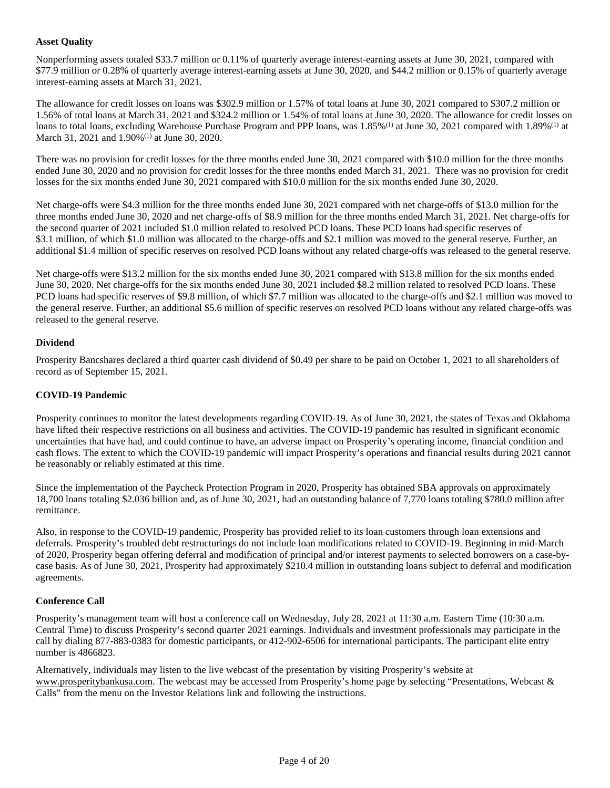# **Asset Quality**

Nonperforming assets totaled \$33.7 million or 0.11% of quarterly average interest-earning assets at June 30, 2021, compared with \$77.9 million or 0.28% of quarterly average interest-earning assets at June 30, 2020, and \$44.2 million or 0.15% of quarterly average interest-earning assets at March 31, 2021.

The allowance for credit losses on loans was \$302.9 million or 1.57% of total loans at June 30, 2021 compared to \$307.2 million or 1.56% of total loans at March 31, 2021 and \$324.2 million or 1.54% of total loans at June 30, 2020. The allowance for credit losses on loans to total loans, excluding Warehouse Purchase Program and PPP loans, was 1.85%<sup>(1)</sup> at June 30, 2021 compared with 1.89%<sup>(1)</sup> at March 31, 2021 and 1.90%<sup>(1)</sup> at June 30, 2020.

There was no provision for credit losses for the three months ended June 30, 2021 compared with \$10.0 million for the three months ended June 30, 2020 and no provision for credit losses for the three months ended March 31, 2021. There was no provision for credit losses for the six months ended June 30, 2021 compared with \$10.0 million for the six months ended June 30, 2020.

Net charge-offs were \$4.3 million for the three months ended June 30, 2021 compared with net charge-offs of \$13.0 million for the three months ended June 30, 2020 and net charge-offs of \$8.9 million for the three months ended March 31, 2021. Net charge-offs for the second quarter of 2021 included \$1.0 million related to resolved PCD loans. These PCD loans had specific reserves of \$3.1 million, of which \$1.0 million was allocated to the charge-offs and \$2.1 million was moved to the general reserve. Further, an additional \$1.4 million of specific reserves on resolved PCD loans without any related charge-offs was released to the general reserve.

Net charge-offs were \$13.2 million for the six months ended June 30, 2021 compared with \$13.8 million for the six months ended June 30, 2020. Net charge-offs for the six months ended June 30, 2021 included \$8.2 million related to resolved PCD loans. These PCD loans had specific reserves of \$9.8 million, of which \$7.7 million was allocated to the charge-offs and \$2.1 million was moved to the general reserve. Further, an additional \$5.6 million of specific reserves on resolved PCD loans without any related charge-offs was released to the general reserve.

### **Dividend**

Prosperity Bancshares declared a third quarter cash dividend of \$0.49 per share to be paid on October 1, 2021 to all shareholders of record as of September 15, 2021.

### **COVID-19 Pandemic**

Prosperity continues to monitor the latest developments regarding COVID-19. As of June 30, 2021, the states of Texas and Oklahoma have lifted their respective restrictions on all business and activities. The COVID-19 pandemic has resulted in significant economic uncertainties that have had, and could continue to have, an adverse impact on Prosperity's operating income, financial condition and cash flows. The extent to which the COVID-19 pandemic will impact Prosperity's operations and financial results during 2021 cannot be reasonably or reliably estimated at this time.

Since the implementation of the Paycheck Protection Program in 2020, Prosperity has obtained SBA approvals on approximately 18,700 loans totaling \$2.036 billion and, as of June 30, 2021, had an outstanding balance of 7,770 loans totaling \$780.0 million after remittance.

Also, in response to the COVID-19 pandemic, Prosperity has provided relief to its loan customers through loan extensions and deferrals. Prosperity's troubled debt restructurings do not include loan modifications related to COVID-19. Beginning in mid-March of 2020, Prosperity began offering deferral and modification of principal and/or interest payments to selected borrowers on a case-bycase basis. As of June 30, 2021, Prosperity had approximately \$210.4 million in outstanding loans subject to deferral and modification agreements.

### **Conference Call**

Prosperity's management team will host a conference call on Wednesday, July 28, 2021 at 11:30 a.m. Eastern Time (10:30 a.m. Central Time) to discuss Prosperity's second quarter 2021 earnings. Individuals and investment professionals may participate in the call by dialing 877-883-0383 for domestic participants, or 412-902-6506 for international participants. The participant elite entry number is 4866823.

Alternatively, individuals may listen to the live webcast of the presentation by visiting Prosperity's website at www.prosperitybankusa.com. The webcast may be accessed from Prosperity's home page by selecting "Presentations, Webcast & Calls" from the menu on the Investor Relations link and following the instructions.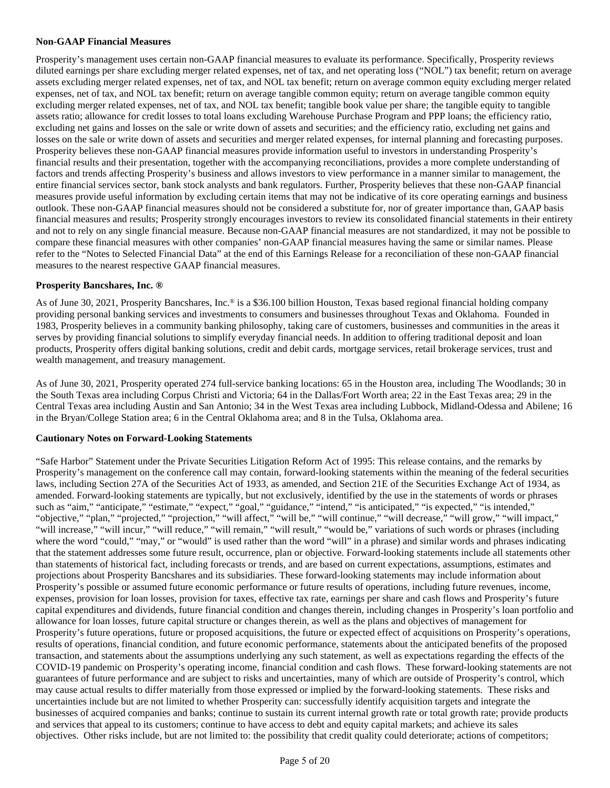### **Non-GAAP Financial Measures**

Prosperity's management uses certain non-GAAP financial measures to evaluate its performance. Specifically, Prosperity reviews diluted earnings per share excluding merger related expenses, net of tax, and net operating loss ("NOL") tax benefit; return on average assets excluding merger related expenses, net of tax, and NOL tax benefit; return on average common equity excluding merger related expenses, net of tax, and NOL tax benefit; return on average tangible common equity; return on average tangible common equity excluding merger related expenses, net of tax, and NOL tax benefit; tangible book value per share; the tangible equity to tangible assets ratio; allowance for credit losses to total loans excluding Warehouse Purchase Program and PPP loans; the efficiency ratio, excluding net gains and losses on the sale or write down of assets and securities; and the efficiency ratio, excluding net gains and losses on the sale or write down of assets and securities and merger related expenses, for internal planning and forecasting purposes. Prosperity believes these non-GAAP financial measures provide information useful to investors in understanding Prosperity's financial results and their presentation, together with the accompanying reconciliations, provides a more complete understanding of factors and trends affecting Prosperity's business and allows investors to view performance in a manner similar to management, the entire financial services sector, bank stock analysts and bank regulators. Further, Prosperity believes that these non-GAAP financial measures provide useful information by excluding certain items that may not be indicative of its core operating earnings and business outlook. These non-GAAP financial measures should not be considered a substitute for, nor of greater importance than, GAAP basis financial measures and results; Prosperity strongly encourages investors to review its consolidated financial statements in their entirety and not to rely on any single financial measure. Because non-GAAP financial measures are not standardized, it may not be possible to compare these financial measures with other companies' non-GAAP financial measures having the same or similar names. Please refer to the "Notes to Selected Financial Data" at the end of this Earnings Release for a reconciliation of these non-GAAP financial measures to the nearest respective GAAP financial measures.

## **Prosperity Bancshares, Inc. ®**

As of June 30, 2021, Prosperity Bancshares, Inc.® is a \$36.100 billion Houston, Texas based regional financial holding company providing personal banking services and investments to consumers and businesses throughout Texas and Oklahoma. Founded in 1983, Prosperity believes in a community banking philosophy, taking care of customers, businesses and communities in the areas it serves by providing financial solutions to simplify everyday financial needs. In addition to offering traditional deposit and loan products, Prosperity offers digital banking solutions, credit and debit cards, mortgage services, retail brokerage services, trust and wealth management, and treasury management.

As of June 30, 2021, Prosperity operated 274 full-service banking locations: 65 in the Houston area, including The Woodlands; 30 in the South Texas area including Corpus Christi and Victoria; 64 in the Dallas/Fort Worth area; 22 in the East Texas area; 29 in the Central Texas area including Austin and San Antonio; 34 in the West Texas area including Lubbock, Midland-Odessa and Abilene; 16 in the Bryan/College Station area; 6 in the Central Oklahoma area; and 8 in the Tulsa, Oklahoma area.

### **Cautionary Notes on Forward-Looking Statements**

"Safe Harbor" Statement under the Private Securities Litigation Reform Act of 1995: This release contains, and the remarks by Prosperity's management on the conference call may contain, forward-looking statements within the meaning of the federal securities laws, including Section 27A of the Securities Act of 1933, as amended, and Section 21E of the Securities Exchange Act of 1934, as amended. Forward-looking statements are typically, but not exclusively, identified by the use in the statements of words or phrases such as "aim," "anticipate," "estimate," "expect," "goal," "guidance," "intend," "is anticipated," "is expected," "is intended," "objective," "plan," "projected," "projection," "will affect," "will be," "will continue," "will decrease," "will grow," "will impact," "will increase," "will incur," "will reduce," "will remain," "will result," "would be," variations of such words or phrases (including where the word "could," "may," or "would" is used rather than the word "will" in a phrase) and similar words and phrases indicating that the statement addresses some future result, occurrence, plan or objective. Forward-looking statements include all statements other than statements of historical fact, including forecasts or trends, and are based on current expectations, assumptions, estimates and projections about Prosperity Bancshares and its subsidiaries. These forward-looking statements may include information about Prosperity's possible or assumed future economic performance or future results of operations, including future revenues, income, expenses, provision for loan losses, provision for taxes, effective tax rate, earnings per share and cash flows and Prosperity's future capital expenditures and dividends, future financial condition and changes therein, including changes in Prosperity's loan portfolio and allowance for loan losses, future capital structure or changes therein, as well as the plans and objectives of management for Prosperity's future operations, future or proposed acquisitions, the future or expected effect of acquisitions on Prosperity's operations, results of operations, financial condition, and future economic performance, statements about the anticipated benefits of the proposed transaction, and statements about the assumptions underlying any such statement, as well as expectations regarding the effects of the COVID-19 pandemic on Prosperity's operating income, financial condition and cash flows. These forward-looking statements are not guarantees of future performance and are subject to risks and uncertainties, many of which are outside of Prosperity's control, which may cause actual results to differ materially from those expressed or implied by the forward-looking statements. These risks and uncertainties include but are not limited to whether Prosperity can: successfully identify acquisition targets and integrate the businesses of acquired companies and banks; continue to sustain its current internal growth rate or total growth rate; provide products and services that appeal to its customers; continue to have access to debt and equity capital markets; and achieve its sales objectives. Other risks include, but are not limited to: the possibility that credit quality could deteriorate; actions of competitors;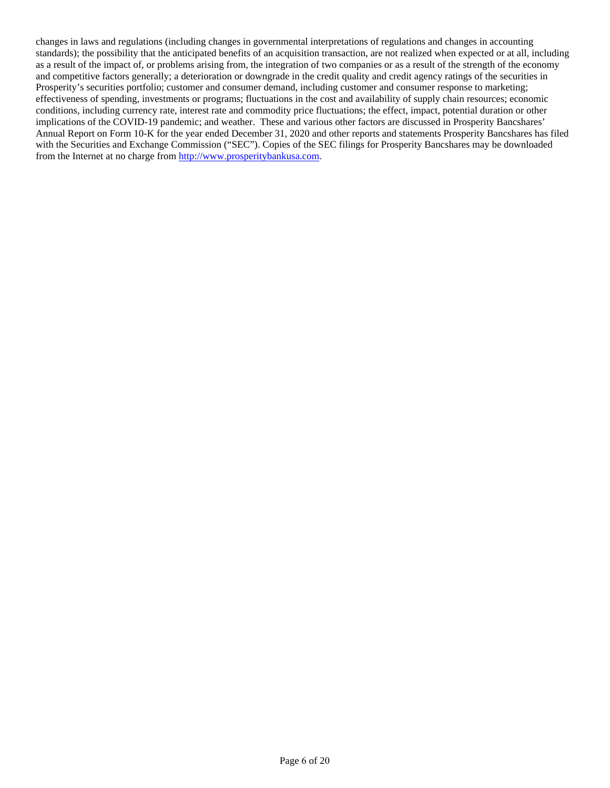changes in laws and regulations (including changes in governmental interpretations of regulations and changes in accounting standards); the possibility that the anticipated benefits of an acquisition transaction, are not realized when expected or at all, including as a result of the impact of, or problems arising from, the integration of two companies or as a result of the strength of the economy and competitive factors generally; a deterioration or downgrade in the credit quality and credit agency ratings of the securities in Prosperity's securities portfolio; customer and consumer demand, including customer and consumer response to marketing; effectiveness of spending, investments or programs; fluctuations in the cost and availability of supply chain resources; economic conditions, including currency rate, interest rate and commodity price fluctuations; the effect, impact, potential duration or other implications of the COVID-19 pandemic; and weather. These and various other factors are discussed in Prosperity Bancshares' Annual Report on Form 10-K for the year ended December 31, 2020 and other reports and statements Prosperity Bancshares has filed with the Securities and Exchange Commission ("SEC"). Copies of the SEC filings for Prosperity Bancshares may be downloaded from the Internet at no charge from [http://www.prosperitybankusa.com.](http://www.prosperitybankusa.com/)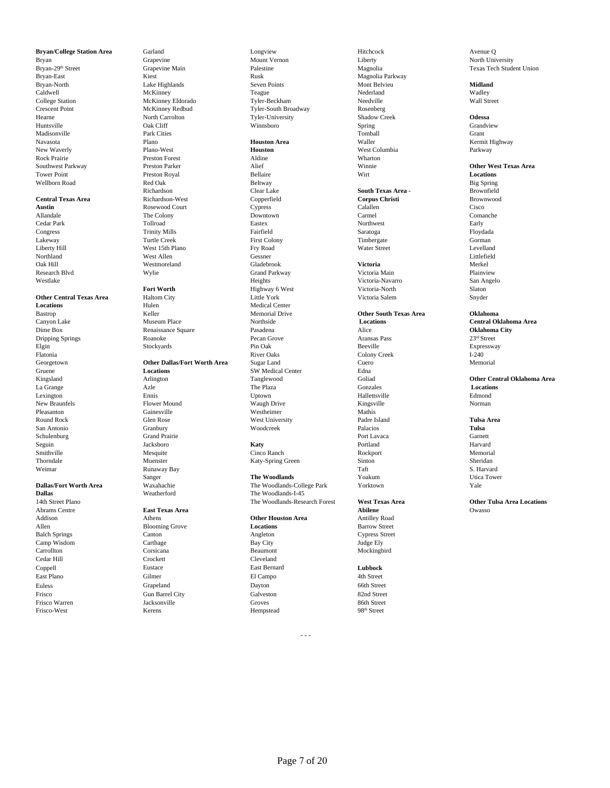Madisonville Park Cities Tomball Grant Navasota **Plano** Plano **Houston Area Waller** Waller Kermit Highway New Waverly Plano-West **Houston** West Columbia Parkway Rock Prairie **Preston Forest** Aldine Marton Wharton Preston Perston Parker Aldine Wharton Preston Parker Alief Winnie Southwest Parkway **Preston Parker** Alief Minnie Winnie **Other West Texas Area**<br>
Peston Roval Bellaire Wirt Wirt **Locations** Tower Point **Preston Royal Bellaire Reston Royal Bellaire Wirt Wirt Locations** 

# **Other Central Texas Area** Halton<br> **Locations** Hulen

Schulenburg Grand Prairie Grand Prairie Schulenburg Port Lavaca Garnett Garnett Garnett (Garnett Garnett Garnett Garnett Garnett Garnett Garnett Garnett Garnett Garnett Garnett Garnett Garnett Garnett Garnett Garnett Garne Seguin Jacksboro **Katy** Portland Harvard Smithville Mesquite Cinco Ranch Rockport Memorial Thorndale **Muenster** Muenster Katy-Spring Green Sinton Sheridan Sheridan Weimar **Runaway Bay** Runaway Bay **Reserves and S. Harvard** S. Harvard S. Harvard

Abrams Centre **East Texas Area Contract Centre Abilene**<br>Addison **Abrams Centre Addison**<br>Antilley Road Addison **Athens** Athens **Other Houston Area** Antilley Road<br>
Allen Blooming Grove **Contains Contains Contains Barrow Street** Allen Blooming Grove **Locations** Barrow Street Balch Springs Canton Cypress Street Balch Springs Canton Cypress Street Balch Springs Canton Canton Canton Canton Angleton Cypress Street Camp Wisdom Carthage Carthage Bay City Bay City Judge Ely<br>
Carrollton Corsicana Beaumont Mockingbird Carrollton Corsicana Beaumont Mockingbird Cedar Hill Crockett Cleveland Coppell Eustace East Bernard **Lubbock** East Plano and Gilmer Gilmer El Campo Bottom Company and Hel Campo 4th Street Euless Grapeland Dayton 66th Street Frisco Gun Barrel City Galveston 82nd Street Frisco Warren Jacksonville Groves 86th Street Frisco-West 28<sup>th</sup> Street Kerens Kerens Hempstead 38<sup>th</sup> Street

**Location Medical Center Medical Center Reller**<br> **Location Medical Drive** 

**Bryan/College Station Area** Garland Garland Longview Hitchcock Hitchcock Avenue Q<br>
Bryan Correspondence Avenue Correspondence and Mount Vernon Liberty Liberty North University Bryan Grapevine Grapevine Mount Vernon Liberty Mount University Bryan-29<sup>th</sup> Street **Street Grapevine Main** Palestine Palestine Magnolia Magnolia Texas Tech Student Union<br>Palestine Rusk Rusk Magnolia Parkway Bryan-East Magnolia Parkway (Kiest Rusk Rusk Magnolia Parkway Rusk Rusk Magnolia Parkway Rusk Magnolia Parkway<br>Bryan-North Mont Belvieu Bryan-North **Exterminiate Seven Points** Seven Points Mont Belvieu **Midland** Mont Belvieu Caldwell McKinney Teague Nederland Wadley College Station McKinney Eldorado Tyler-Beckham Needville Wall Street Wall Street Crescent Point McKinney Redbud Tyler-South Broadway Rosenberg Tyler-South Broadway Rosenberg Hearne **North Carrolton North Carrolton Tyler-University** Shadow Creek **Odessa** Huntsville Oak Cliff Winnsboro Spring Grandview

Wellborn Road Red Oak Beltway Big Spring Richardson Clear Lake **South Texas Area -** Brownfield **Central Texas Area** Richardson-West Copperfield **Corpus Christi** Brownwood **Austin Austin Cypress** Calallen Cisco Court Cypress Calallen Cisco Calallen Cisco Comando Court Cypress Calallen Comando Court Community Community Community Community Community Community Community Community Community Allandale The Colony Downtown Carmel Comanche Cedar Park Tollroad Eastex Northwest Early Congress Trinity Mills Fairfield Saratoga Floydada Lakeway Turtle Creek First Colony Timbergate Gorman Liberty Hill West 15th Plano Fry Road Water Street Levelland Northland West Allen Gessner Littlefield Oak Hill Westmoreland Gladebrook **Victoria** Merkel Research Blvd Wylie Grand Parkway Victoria Main Plainview Westlake San Angelo (San Angelo Heights Nicoria-Navarro San Angelo San Angelo San Angelo (San Angelo San Angelo **Fort Worth Highway 6 West Channel Accompany 1976** Victoria-North Slaton Shaton City (Slaton City Channel City Channel Shaton Shaton Shaton Shaton Shaton Shaton Shaton Shaton Shaton Shaton Shaton Shaton Shaton Shaton Shato Dripping Springs **Roanoke** Roanoke **Pecan Grove Aransas Pass** 23<sup>rd</sup> Street Elgin Stockyards Stockyards Pin Oak Beeville Beeville Expressway Flatonia River Oaks Colony Creek I-240 Georgetown **Other Dallas/Fort Worth Area** Sugar Land Cuero Cuero Memorial Memorial Cuero Memorial Cuero Memorial Cuero Memorial Cuero Memorial Cuero **Memorial** Cuero Memorial SW Medical Center Edna SW Medical Center **Locations** Edna **Collections** Goliad La Grange **Azle** Azle **Contract Accepted Azle** The Plaza **Gonzales** Gonzales **Locations** Lexington Ennis Uptown Hallettsville Edmond New Braunfels **Flower Mound** Communication Communication Communication Communication Communication Norman Norman Pleasanton and Gainesville **Called Accord Westheimer** Mathis Round Rock Glen Rose West University Padre Island **Tulsa Area** San Antonio Granbury Woodcreek Palacios **Tulsa**

Sanger **The Woodlands** Yoakum Utica Tower<br>
Waxahachie The Woodlands-College Park Yorktown Yorktown Yale **Dallas/Fort Worth Area Waxahachie The Woodlands-College Park**  $\textbf{Dallas} \qquad \qquad \text{Weatherford} \qquad \qquad \text{The Woodlands-I-45} \\ 14\text{th Street Plano} \qquad \qquad \text{The Woodlands-Research of the World States} \\ 14\text{Hence} \qquad \qquad \text{The Woodlands-Research of the World States} \\ 14\text{Hence} \qquad \qquad \text{The Woodlands-Research of the World States} \\ 14\text{Hence} \qquad \qquad \text{The Woodlands-Research of the World States} \\ 14\text{Hence} \qquad \qquad \text{The Woodlands-Research of the World States} \\ 14\text{Hence} \qquad \qquad \text{The Woodlands-Research of the World States} \\ 14\text{H$ 

### Bastrop **Caller Carry Communist Communist Carry Area Carry Communist Carry Area Carry Communist Central Oklahoma**<br>
Carry Communist Central Oklahoma<br>
Central Ok **Central Oklahoma Area**<br>
Pasadena **Alice** Alice **Central Oklahoma City**<br> **Central Oklahoma City** Dime Box Renaissance Square Pasadena Alice **Oklahoma City**

Kingsland **Arlington Coliad** Coliad **Other Central Oklahoma Area**<br>
La Grange Azle Arle **Arcana** Area

14th Street Plano The Woodlands-Research Forest **West Texas Area Other Tulsa Area Locations**

- - -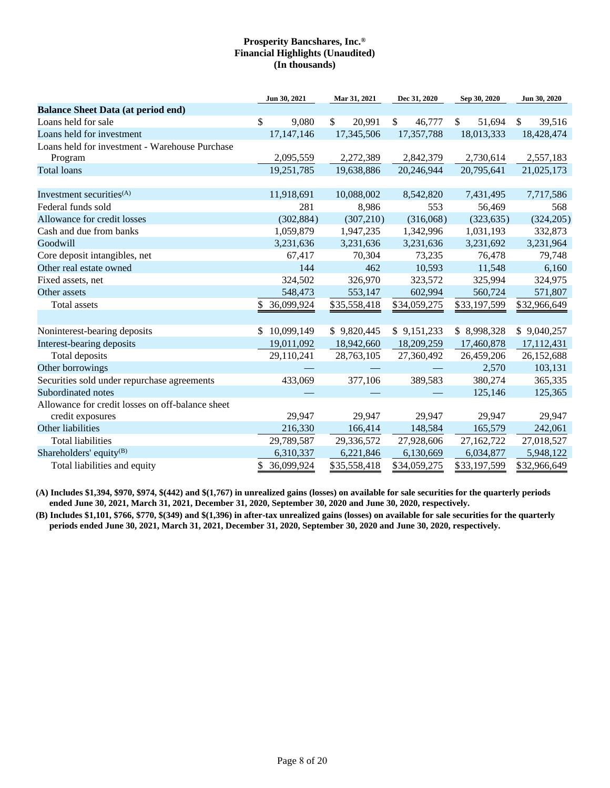|                                                  | Jun 30, 2021     | Mar 31, 2021 | Dec 31, 2020 | Sep 30, 2020           | Jun 30, 2020           |
|--------------------------------------------------|------------------|--------------|--------------|------------------------|------------------------|
| <b>Balance Sheet Data (at period end)</b>        |                  |              |              |                        |                        |
| Loans held for sale                              | \$<br>9,080      | \$<br>20,991 | \$<br>46,777 | $\mathbb{S}$<br>51,694 | $\mathbb{S}$<br>39,516 |
| Loans held for investment                        | 17,147,146       | 17,345,506   | 17,357,788   | 18,013,333             | 18,428,474             |
| Loans held for investment - Warehouse Purchase   |                  |              |              |                        |                        |
| Program                                          | 2,095,559        | 2,272,389    | 2,842,379    | 2,730,614              | 2,557,183              |
| <b>Total loans</b>                               | 19,251,785       | 19,638,886   | 20,246,944   | 20,795,641             | 21,025,173             |
|                                                  |                  |              |              |                        |                        |
| Investment securities <sup>(A)</sup>             | 11,918,691       | 10,088,002   | 8,542,820    | 7,431,495              | 7,717,586              |
| Federal funds sold                               | 281              | 8,986        | 553          | 56,469                 | 568                    |
| Allowance for credit losses                      | (302, 884)       | (307, 210)   | (316,068)    | (323, 635)             | (324, 205)             |
| Cash and due from banks                          | 1,059,879        | 1,947,235    | 1,342,996    | 1,031,193              | 332,873                |
| Goodwill                                         | 3,231,636        | 3,231,636    | 3,231,636    | 3,231,692              | 3,231,964              |
| Core deposit intangibles, net                    | 67,417           | 70,304       | 73,235       | 76,478                 | 79,748                 |
| Other real estate owned                          | 144              | 462          | 10,593       | 11,548                 | 6,160                  |
| Fixed assets, net                                | 324,502          | 326,970      | 323,572      | 325,994                | 324,975                |
| Other assets                                     | 548,473          | 553,147      | 602,994      | 560,724                | 571,807                |
| Total assets                                     | 36,099,924       | \$35,558,418 | \$34,059,275 | \$33,197,599           | \$32,966,649           |
|                                                  |                  |              |              |                        |                        |
| Noninterest-bearing deposits                     | 10,099,149<br>\$ | \$9,820,445  | \$9,151,233  | \$8,998,328            | \$9,040,257            |
| Interest-bearing deposits                        | 19,011,092       | 18,942,660   | 18,209,259   | 17,460,878             | 17,112,431             |
| Total deposits                                   | 29,110,241       | 28,763,105   | 27,360,492   | 26,459,206             | 26,152,688             |
| Other borrowings                                 |                  |              |              | 2,570                  | 103,131                |
| Securities sold under repurchase agreements      | 433,069          | 377,106      | 389,583      | 380,274                | 365,335                |
| Subordinated notes                               |                  |              |              | 125,146                | 125,365                |
| Allowance for credit losses on off-balance sheet |                  |              |              |                        |                        |
| credit exposures                                 | 29,947           | 29,947       | 29,947       | 29,947                 | 29,947                 |
| Other liabilities                                | 216,330          | 166,414      | 148,584      | 165,579                | 242,061                |
| <b>Total liabilities</b>                         | 29,789,587       | 29,336,572   | 27,928,606   | 27,162,722             | 27,018,527             |
| Shareholders' equity <sup>(B)</sup>              | 6,310,337        | 6,221,846    | 6,130,669    | 6,034,877              | 5,948,122              |
| Total liabilities and equity                     | \$ 36,099,924    | \$35,558,418 | \$34,059,275 | \$33,197,599           | \$32,966,649           |

**(A) Includes \$1,394, \$970, \$974, \$(442) and \$(1,767) in unrealized gains (losses) on available for sale securities for the quarterly periods ended June 30, 2021, March 31, 2021, December 31, 2020, September 30, 2020 and June 30, 2020, respectively.**

**(B) Includes \$1,101, \$766, \$770, \$(349) and \$(1,396) in after-tax unrealized gains (losses) on available for sale securities for the quarterly periods ended June 30, 2021, March 31, 2021, December 31, 2020, September 30, 2020 and June 30, 2020, respectively.**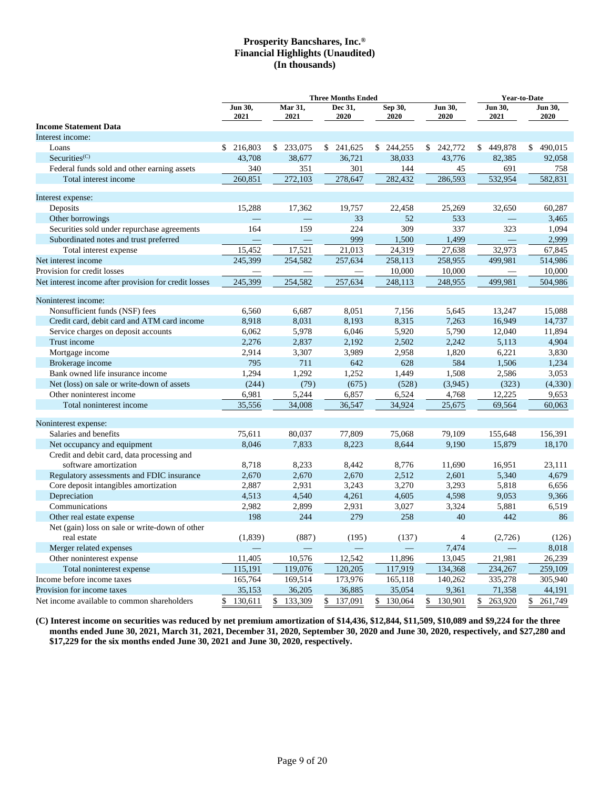|                                                                     |                 |                 | <b>Three Months Ended</b> |                 |                 | <b>Year-to-Date</b>      |                 |  |
|---------------------------------------------------------------------|-----------------|-----------------|---------------------------|-----------------|-----------------|--------------------------|-----------------|--|
|                                                                     | Jun 30,<br>2021 | Mar 31,<br>2021 | Dec 31,<br>2020           | Sep 30,<br>2020 | Jun 30,<br>2020 | Jun 30,<br>2021          | Jun 30,<br>2020 |  |
| <b>Income Statement Data</b>                                        |                 |                 |                           |                 |                 |                          |                 |  |
| Interest income:                                                    |                 |                 |                           |                 |                 |                          |                 |  |
| Loans                                                               | \$216,803       | \$ 233,075      | \$241,625                 | \$244,255       | \$242,772       | \$449,878                | \$490,015       |  |
| Securities <sup>(C)</sup>                                           | 43,708          | 38,677          | 36,721                    | 38,033          | 43,776          | 82,385                   | 92,058          |  |
| Federal funds sold and other earning assets                         | 340             | 351             | 301                       | 144             | 45              | 691                      | 758             |  |
| Total interest income                                               | 260,851         | 272,103         | 278,647                   | 282,432         | 286,593         | 532,954                  | 582,831         |  |
| Interest expense:                                                   |                 |                 |                           |                 |                 |                          |                 |  |
| Deposits                                                            | 15,288          | 17,362          | 19,757                    | 22,458          | 25,269          | 32,650                   | 60,287          |  |
| Other borrowings                                                    |                 |                 | 33                        | 52              | 533             |                          | 3,465           |  |
| Securities sold under repurchase agreements                         | 164             | 159             | 224                       | 309             | 337             | 323                      | 1,094           |  |
| Subordinated notes and trust preferred                              |                 |                 | 999                       | 1,500           | 1,499           |                          | 2,999           |  |
| Total interest expense                                              | 15,452          | 17,521          | 21,013                    | 24,319          | 27,638          | 32,973                   | 67,845          |  |
| Net interest income                                                 | 245.399         | 254,582         | 257,634                   | 258,113         | 258,955         | 499.981                  | 514,986         |  |
| Provision for credit losses                                         |                 |                 |                           | 10,000          | 10,000          | $\overline{\phantom{a}}$ | 10,000          |  |
| Net interest income after provision for credit losses               | 245,399         | 254,582         | 257,634                   | 248,113         | 248,955         | 499,981                  | 504,986         |  |
| Noninterest income:                                                 |                 |                 |                           |                 |                 |                          |                 |  |
| Nonsufficient funds (NSF) fees                                      | 6,560           | 6,687           | 8,051                     | 7,156           | 5,645           | 13,247                   | 15.088          |  |
| Credit card, debit card and ATM card income                         | 8,918           | 8,031           | 8,193                     | 8,315           | 7,263           | 16,949                   | 14,737          |  |
| Service charges on deposit accounts                                 | 6,062           | 5,978           | 6,046                     | 5,920           | 5,790           | 12,040                   | 11,894          |  |
| Trust income                                                        | 2,276           | 2,837           | 2,192                     | 2,502           | 2,242           | 5,113                    | 4,904           |  |
| Mortgage income                                                     | 2,914           | 3,307           | 3,989                     | 2,958           | 1,820           | 6,221                    | 3,830           |  |
| Brokerage income                                                    | 795             | 711             | 642                       | 628             | 584             | 1,506                    | 1,234           |  |
| Bank owned life insurance income                                    | 1,294           | 1,292           | 1,252                     | 1,449           | 1,508           | 2,586                    | 3,053           |  |
| Net (loss) on sale or write-down of assets                          | (244)           | (79)            | (675)                     | (528)           | (3,945)         | (323)                    | (4,330)         |  |
| Other noninterest income                                            | 6,981           | 5,244           | 6,857                     | 6,524           | 4,768           | 12,225                   | 9,653           |  |
| Total noninterest income                                            | 35,556          | 34,008          | 36,547                    | 34,924          | 25,675          | 69,564                   | 60,063          |  |
|                                                                     |                 |                 |                           |                 |                 |                          |                 |  |
| Noninterest expense:                                                |                 |                 |                           |                 |                 |                          |                 |  |
| Salaries and benefits                                               | 75,611          | 80,037          | 77,809                    | 75,068          | 79,109          | 155,648                  | 156,391         |  |
| Net occupancy and equipment                                         | 8,046           | 7,833           | 8,223                     | 8,644           | 9,190           | 15,879                   | 18,170          |  |
| Credit and debit card, data processing and<br>software amortization |                 | 8,233           | 8,442                     | 8,776           |                 |                          | 23,111          |  |
| Regulatory assessments and FDIC insurance                           | 8,718<br>2,670  | 2,670           | 2,670                     | 2,512           | 11,690<br>2,601 | 16,951<br>5,340          | 4,679           |  |
| Core deposit intangibles amortization                               | 2,887           | 2,931           |                           | 3,270           |                 |                          |                 |  |
| Depreciation                                                        | 4,513           | 4,540           | 3,243<br>4,261            | 4,605           | 3,293<br>4,598  | 5,818<br>9,053           | 6,656<br>9,366  |  |
|                                                                     |                 | 2,899           |                           | 3,027           | 3,324           |                          |                 |  |
| Communications                                                      | 2,982<br>198    | 244             | 2,931<br>279              | 258             |                 | 5,881<br>442             | 6,519           |  |
| Other real estate expense                                           |                 |                 |                           |                 | 40              |                          | 86              |  |
| Net (gain) loss on sale or write-down of other<br>real estate       | (1,839)         | (887)           | (195)                     | (137)           | $\overline{4}$  | (2,726)                  | (126)           |  |
| Merger related expenses                                             |                 |                 |                           |                 | 7,474           |                          | 8,018           |  |
| Other noninterest expense                                           | 11,405          | 10,576          | 12,542                    | 11,896          | 13,045          | 21,981                   | 26,239          |  |
| Total noninterest expense                                           | 115,191         | 119,076         | 120,205                   | 117,919         | 134,368         | 234,267                  | 259,109         |  |
| Income before income taxes                                          | 165,764         | 169,514         | 173,976                   | 165,118         | 140,262         | 335,278                  | 305,940         |  |
| Provision for income taxes                                          | 35,153          | 36,205          | 36,885                    | 35,054          | 9,361           | 71,358                   | 44,191          |  |
| Net income available to common shareholders                         | 130,611<br>\$   | \$<br>133,309   | \$<br>137,091             | \$<br>130,064   | \$<br>130,901   | 263,920<br>\$            | \$<br>261,749   |  |

**(C) Interest income on securities was reduced by net premium amortization of \$14,436, \$12,844, \$11,509, \$10,089 and \$9,224 for the three months ended June 30, 2021, March 31, 2021, December 31, 2020, September 30, 2020 and June 30, 2020, respectively, and \$27,280 and \$17,229 for the six months ended June 30, 2021 and June 30, 2020, respectively.**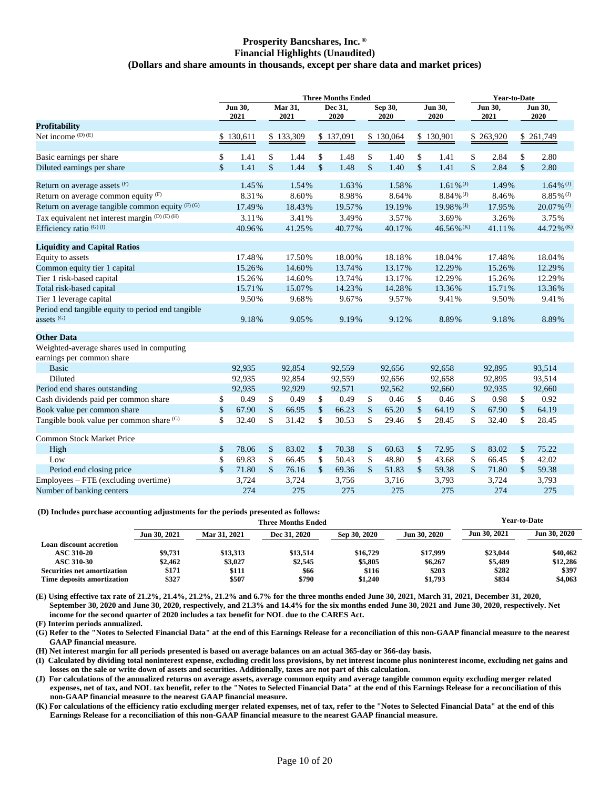### **Prosperity Bancshares, Inc. ® Financial Highlights (Unaudited) (Dollars and share amounts in thousands, except per share data and market prices)**

|                                                                            |                    |                 |                    |                 |                    | <b>Three Months Ended</b> |               |                 |               |                          | <b>Year-to-Date</b> |                 |               |                          |
|----------------------------------------------------------------------------|--------------------|-----------------|--------------------|-----------------|--------------------|---------------------------|---------------|-----------------|---------------|--------------------------|---------------------|-----------------|---------------|--------------------------|
|                                                                            |                    | Jun 30,<br>2021 |                    | Mar 31,<br>2021 |                    | Dec 31,<br>2020           |               | Sep 30,<br>2020 |               | Jun 30,<br>2020          |                     | Jun 30,<br>2021 |               | Jun 30,<br>2020          |
| <b>Profitability</b>                                                       |                    |                 |                    |                 |                    |                           |               |                 |               |                          |                     |                 |               |                          |
| Net income $(D)$ (E)                                                       |                    | \$130,611       |                    | \$133,309       |                    | \$137,091                 |               | \$130,064       |               | \$130,901                |                     | \$263,920       |               | \$261,749                |
| Basic earnings per share                                                   | \$                 | 1.41            | \$                 | 1.44            | \$                 | 1.48                      | \$            | 1.40            | \$            | 1.41                     | \$                  | 2.84            | \$            | 2.80                     |
| Diluted earnings per share                                                 | $\mathbb{S}$       | 1.41            | \$                 | 1.44            | $\mathbf{\hat{S}}$ | 1.48                      | \$            | 1.40            | $\mathsf{\$}$ | 1.41                     | \$                  | 2.84            | $\mathsf{\$}$ | 2.80                     |
| Return on average assets (F)                                               |                    | 1.45%           |                    | 1.54%           |                    | 1.63%                     |               | 1.58%           |               | $1.61\%$ <sup>(J)</sup>  |                     | 1.49%           |               | $1.64\%$ <sup>(J)</sup>  |
| Return on average common equity (F)                                        |                    | 8.31%           |                    | 8.60%           |                    | 8.98%                     |               | 8.64%           |               | $8.84\%$ <sup>(J)</sup>  |                     | 8.46%           |               | $8.85\%$ <sup>(J)</sup>  |
| Return on average tangible common equity $(F)$ (G)                         |                    | 17.49%          |                    | 18.43%          |                    | 19.57%                    |               | 19.19%          |               | $19.98\%$ <sup>(J)</sup> |                     | 17.95%          |               | $20.07\%$ <sup>(J)</sup> |
| Tax equivalent net interest margin (D)(E)(H)                               |                    | 3.11%           |                    | 3.41%           |                    | 3.49%                     |               | 3.57%           |               | 3.69%                    |                     | 3.26%           |               | 3.75%                    |
| Efficiency ratio <sup>(G)(I)</sup>                                         |                    | 40.96%          |                    | 41.25%          |                    | 40.77%                    |               | 40.17%          |               | 46.56% (K)               |                     | 41.11%          |               | 44.72% (K)               |
| <b>Liquidity and Capital Ratios</b>                                        |                    |                 |                    |                 |                    |                           |               |                 |               |                          |                     |                 |               |                          |
| Equity to assets                                                           |                    | 17.48%          |                    | 17.50%          |                    | 18.00%                    |               | 18.18%          |               | 18.04%                   |                     | 17.48%          |               | 18.04%                   |
| Common equity tier 1 capital                                               |                    | 15.26%          |                    | 14.60%          |                    | 13.74%                    |               | 13.17%          |               | 12.29%                   |                     | 15.26%          |               | 12.29%                   |
| Tier 1 risk-based capital                                                  |                    | 15.26%          |                    | 14.60%          |                    | 13.74%                    |               | 13.17%          |               | 12.29%                   |                     | 15.26%          |               | 12.29%                   |
| Total risk-based capital                                                   |                    | 15.71%          |                    | 15.07%          |                    | 14.23%                    |               | 14.28%          |               | 13.36%                   |                     | 15.71%          |               | 13.36%                   |
| Tier 1 leverage capital                                                    |                    | 9.50%           |                    | 9.68%           |                    | 9.67%                     |               | 9.57%           |               | 9.41%                    |                     | 9.50%           |               | 9.41%                    |
| Period end tangible equity to period end tangible<br>assets <sup>(G)</sup> |                    | 9.18%           |                    | 9.05%           |                    | 9.19%                     |               | 9.12%           |               | 8.89%                    |                     | 9.18%           |               | 8.89%                    |
| <b>Other Data</b>                                                          |                    |                 |                    |                 |                    |                           |               |                 |               |                          |                     |                 |               |                          |
| Weighted-average shares used in computing<br>earnings per common share     |                    |                 |                    |                 |                    |                           |               |                 |               |                          |                     |                 |               |                          |
| <b>Basic</b>                                                               |                    | 92,935          |                    | 92,854          |                    | 92,559                    |               | 92,656          |               | 92,658                   |                     | 92,895          |               | 93,514                   |
| Diluted                                                                    |                    | 92,935          |                    | 92,854          |                    | 92,559                    |               | 92,656          |               | 92,658                   |                     | 92,895          |               | 93,514                   |
| Period end shares outstanding                                              |                    | 92,935          |                    | 92,929          |                    | 92,571                    |               | 92,562          |               | 92.660                   |                     | 92,935          |               | 92,660                   |
| Cash dividends paid per common share                                       | \$                 | 0.49            | \$                 | 0.49            | \$                 | 0.49                      | \$            | 0.46            | \$            | 0.46                     | \$                  | 0.98            | \$            | 0.92                     |
| Book value per common share                                                | \$                 | 67.90           | \$                 | 66.95           | \$                 | 66.23                     | \$            | 65.20           | \$            | 64.19                    | \$                  | 67.90           | \$            | 64.19                    |
| Tangible book value per common share (G)                                   | \$                 | 32.40           | \$                 | 31.42           | \$                 | 30.53                     | \$            | 29.46           | \$            | 28.45                    | \$                  | 32.40           | \$            | 28.45                    |
| Common Stock Market Price                                                  |                    |                 |                    |                 |                    |                           |               |                 |               |                          |                     |                 |               |                          |
| High                                                                       | \$                 | 78.06           | \$                 | 83.02           | \$                 | 70.38                     | \$            | 60.63           | \$            | 72.95                    | \$                  | 83.02           | \$            | 75.22                    |
| Low                                                                        | \$                 | 69.83           | \$                 | 66.45           | \$                 | 50.43                     | \$            | 48.80           | \$            | 43.68                    | \$                  | 66.45           | \$            | 42.02                    |
| Period end closing price                                                   | $\mathbf{\hat{S}}$ | 71.80           | $\mathbf{\hat{S}}$ | 76.16           | $\mathbf{\$}$      | 69.36                     | $\mathsf{\$}$ | 51.83           | $\mathsf{\$}$ | 59.38                    | $\mathsf{\$}$       | 71.80           | \$            | 59.38                    |
| Employees – FTE (excluding overtime)                                       |                    | 3,724           |                    | 3,724           |                    | 3,756                     |               | 3,716           |               | 3,793                    |                     | 3,724           |               | 3,793                    |
| Number of banking centers                                                  |                    | 274             |                    | 275             |                    | 275                       |               | 275             |               | 275                      |                     | 274             |               | 275                      |

### **(D) Includes purchase accounting adjustments for the periods presented as follows:**

|                                    |              |              | <b>Year-to-Date</b> |              |              |              |              |
|------------------------------------|--------------|--------------|---------------------|--------------|--------------|--------------|--------------|
|                                    | Jun 30, 2021 | Mar 31, 2021 | Dec 31, 2020        | Sep 30, 2020 | Jun 30, 2020 | Jun 30, 2021 | Jun 30, 2020 |
| Loan discount accretion            |              |              |                     |              |              |              |              |
| ASC 310-20                         | \$9,731      | \$13,313     | \$13.514            | \$16,729     | \$17,999     | \$23,044     | \$40,462     |
| <b>ASC 310-30</b>                  | \$2.462      | \$3,027      | \$2,545             | \$5,805      | \$6,267      | \$5,489      | \$12,286     |
| <b>Securities net amortization</b> | \$171        | \$111        | \$66                | \$116        | \$203        | \$282        | \$397        |
| Time deposits amortization         | \$327        | \$507        | \$790               | \$1,240      | \$1,793      | \$834        | \$4,063      |

**(E) Using effective tax rate of 21.2%, 21.4%, 21.2%, 21.2% and 6.7% for the three months ended June 30, 2021, March 31, 2021, December 31, 2020, September 30, 2020 and June 30, 2020, respectively, and 21.3% and 14.4% for the six months ended June 30, 2021 and June 30, 2020, respectively. Net income for the second quarter of 2020 includes a tax benefit for NOL due to the CARES Act.**

**(F) Interim periods annualized.**

**(G) Refer to the "Notes to Selected Financial Data" at the end of this Earnings Release for a reconciliation of this non-GAAP financial measure to the nearest GAAP financial measure.**

**(H) Net interest margin for all periods presented is based on average balances on an actual 365-day or 366-day basis.**

**(I) Calculated by dividing total noninterest expense, excluding credit loss provisions, by net interest income plus noninterest income, excluding net gains and losses on the sale or write down of assets and securities. Additionally, taxes are not part of this calculation.**

**(J) For calculations of the annualized returns on average assets, average common equity and average tangible common equity excluding merger related expenses, net of tax, and NOL tax benefit, refer to the "Notes to Selected Financial Data" at the end of this Earnings Release for a reconciliation of this non-GAAP financial measure to the nearest GAAP financial measure.**

**(K) For calculations of the efficiency ratio excluding merger related expenses, net of tax, refer to the "Notes to Selected Financial Data" at the end of this Earnings Release for a reconciliation of this non-GAAP financial measure to the nearest GAAP financial measure.**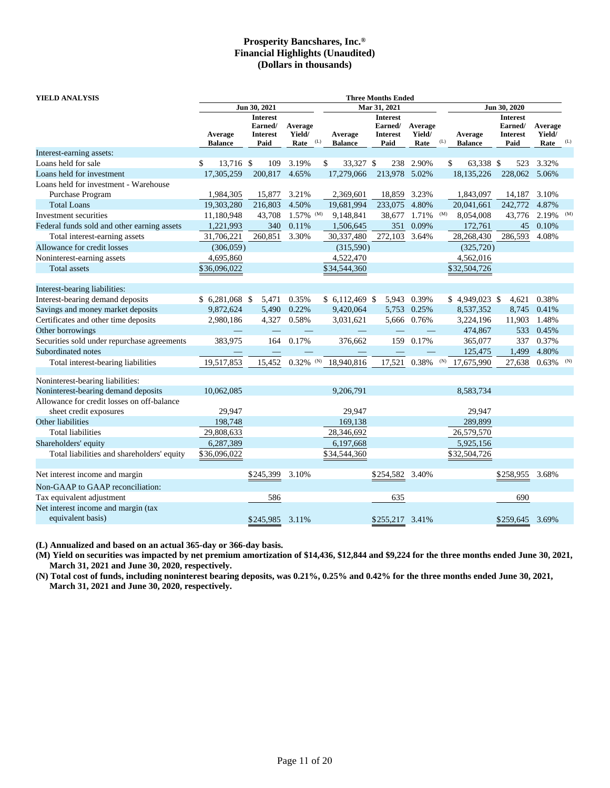| <b>YIELD ANALYSIS</b>                                    |                           | <b>Three Months Ended</b>                             |                           |     |                           |                                                       |                           |     |                           |                                                       |                           |     |  |
|----------------------------------------------------------|---------------------------|-------------------------------------------------------|---------------------------|-----|---------------------------|-------------------------------------------------------|---------------------------|-----|---------------------------|-------------------------------------------------------|---------------------------|-----|--|
|                                                          |                           | Jun 30, 2021                                          |                           |     | Mar 31, 2021              |                                                       |                           |     | Jun 30, 2020              |                                                       |                           |     |  |
|                                                          | Average<br><b>Balance</b> | <b>Interest</b><br>Earned/<br><b>Interest</b><br>Paid | Average<br>Yield/<br>Rate | (L) | Average<br><b>Balance</b> | <b>Interest</b><br>Earned/<br><b>Interest</b><br>Paid | Average<br>Yield/<br>Rate | (L) | Average<br><b>Balance</b> | <b>Interest</b><br>Earned/<br><b>Interest</b><br>Paid | Average<br>Yield/<br>Rate | (L) |  |
| Interest-earning assets:                                 |                           |                                                       |                           |     |                           |                                                       |                           |     |                           |                                                       |                           |     |  |
| Loans held for sale                                      | \$<br>13,716 \$           | 109                                                   | 3.19%                     | \$  | 33,327 \$                 | 238                                                   | 2.90%                     |     | \$<br>63,338 \$           | 523                                                   | 3.32%                     |     |  |
| Loans held for investment                                | 17.305.259                | 200,817                                               | 4.65%                     |     | 17,279,066                | 213,978 5.02%                                         |                           |     | 18,135,226                | 228,062                                               | 5.06%                     |     |  |
| Loans held for investment - Warehouse                    |                           |                                                       |                           |     |                           |                                                       |                           |     |                           |                                                       |                           |     |  |
| Purchase Program                                         | 1,984,305                 | 15,877                                                | 3.21%                     |     | 2,369,601                 | 18,859                                                | 3.23%                     |     | 1,843,097                 | 14,187                                                | 3.10%                     |     |  |
| <b>Total Loans</b>                                       | 19,303,280                | 216,803                                               | 4.50%                     |     | 19,681,994                | 233,075                                               | 4.80%                     |     | 20,041,661                | 242,772                                               | 4.87%                     |     |  |
| Investment securities                                    | 11,180,948                | 43,708                                                | 1.57%                     | (M) | 9,148,841                 | 38,677                                                | 1.71%                     | (M) | 8,054,008                 | 43,776                                                | 2.19%                     | (M) |  |
| Federal funds sold and other earning assets              | 1,221,993                 | 340                                                   | 0.11%                     |     | 1,506,645                 | 351                                                   | 0.09%                     |     | 172,761                   | 45                                                    | 0.10%                     |     |  |
| Total interest-earning assets                            | 31,706,221                | 260,851                                               | 3.30%                     |     | 30,337,480                | 272,103                                               | 3.64%                     |     | 28,268,430                | 286,593                                               | 4.08%                     |     |  |
| Allowance for credit losses                              | (306, 059)                |                                                       |                           |     | (315,590)                 |                                                       |                           |     | (325, 720)                |                                                       |                           |     |  |
| Noninterest-earning assets                               | 4,695,860                 |                                                       |                           |     | 4,522,470                 |                                                       |                           |     | 4,562,016                 |                                                       |                           |     |  |
| <b>Total assets</b>                                      | \$36,096,022              |                                                       |                           |     | \$34,544,360              |                                                       |                           |     | \$32,504,726              |                                                       |                           |     |  |
|                                                          |                           |                                                       |                           |     |                           |                                                       |                           |     |                           |                                                       |                           |     |  |
| Interest-bearing liabilities:                            |                           |                                                       |                           |     |                           |                                                       |                           |     |                           |                                                       |                           |     |  |
| Interest-bearing demand deposits                         | $$6,281,068$ \;           | 5,471                                                 | 0.35%                     |     | $$6,112,469$ \;           |                                                       | 5,943 0.39%               |     | $$4,949,023$ \$           | 4,621                                                 | 0.38%                     |     |  |
| Savings and money market deposits                        | 9,872,624                 | 5,490                                                 | 0.22%                     |     | 9,420,064                 |                                                       | 5,753 0.25%               |     | 8,537,352                 | 8,745                                                 | 0.41%                     |     |  |
| Certificates and other time deposits                     | 2,980,186                 | 4,327                                                 | 0.58%                     |     | 3,031,621                 |                                                       | 5,666 0.76%               |     | 3,224,196                 | 11,903                                                | 1.48%                     |     |  |
| Other borrowings                                         |                           |                                                       |                           |     |                           |                                                       |                           |     | 474,867                   | 533                                                   | 0.45%                     |     |  |
| Securities sold under repurchase agreements              | 383,975                   | 164                                                   | 0.17%                     |     | 376,662                   | 159                                                   | 0.17%                     |     | 365,077                   | 337                                                   | 0.37%                     |     |  |
| Subordinated notes                                       |                           |                                                       |                           |     |                           |                                                       |                           |     | 125,475                   | 1,499                                                 | 4.80%                     |     |  |
| Total interest-bearing liabilities                       | 19,517,853                | 15,452                                                | $0.32\%$ <sup>(N)</sup>   |     | 18,940,816                | 17,521                                                | 0.38%                     | (N) | 17,675,990                | 27,638                                                | 0.63%                     | (N) |  |
| Noninterest-bearing liabilities:                         |                           |                                                       |                           |     |                           |                                                       |                           |     |                           |                                                       |                           |     |  |
| Noninterest-bearing demand deposits                      | 10,062,085                |                                                       |                           |     | 9,206,791                 |                                                       |                           |     | 8,583,734                 |                                                       |                           |     |  |
| Allowance for credit losses on off-balance               |                           |                                                       |                           |     |                           |                                                       |                           |     |                           |                                                       |                           |     |  |
| sheet credit exposures                                   | 29,947                    |                                                       |                           |     | 29,947                    |                                                       |                           |     | 29,947                    |                                                       |                           |     |  |
| Other liabilities                                        | 198,748                   |                                                       |                           |     | 169,138                   |                                                       |                           |     | 289,899                   |                                                       |                           |     |  |
| <b>Total liabilities</b>                                 | 29,808,633                |                                                       |                           |     | 28,346,692                |                                                       |                           |     | 26,579,570                |                                                       |                           |     |  |
| Shareholders' equity                                     | 6,287,389                 |                                                       |                           |     | 6,197,668                 |                                                       |                           |     | 5,925,156                 |                                                       |                           |     |  |
| Total liabilities and shareholders' equity               | \$36,096,022              |                                                       |                           |     | \$34,544,360              |                                                       |                           |     | \$32,504,726              |                                                       |                           |     |  |
|                                                          |                           |                                                       |                           |     |                           |                                                       |                           |     |                           |                                                       |                           |     |  |
| Net interest income and margin                           |                           | \$245,399                                             | 3.10%                     |     |                           | \$254,582                                             | 3.40%                     |     |                           | \$258,955                                             | 3.68%                     |     |  |
| Non-GAAP to GAAP reconciliation:                         |                           |                                                       |                           |     |                           |                                                       |                           |     |                           |                                                       |                           |     |  |
| Tax equivalent adjustment                                |                           | 586                                                   |                           |     |                           | 635                                                   |                           |     |                           | 690                                                   |                           |     |  |
| Net interest income and margin (tax<br>equivalent basis) |                           | \$245,985                                             | 3.11%                     |     |                           | \$255,217 3.41%                                       |                           |     |                           | \$259,645                                             | 3.69%                     |     |  |

**(L) Annualized and based on an actual 365-day or 366-day basis.**

**(M) Yield on securities was impacted by net premium amortization of \$14,436, \$12,844 and \$9,224 for the three months ended June 30, 2021, March 31, 2021 and June 30, 2020, respectively.**

**(N) Total cost of funds, including noninterest bearing deposits, was 0.21%, 0.25% and 0.42% for the three months ended June 30, 2021, March 31, 2021 and June 30, 2020, respectively.**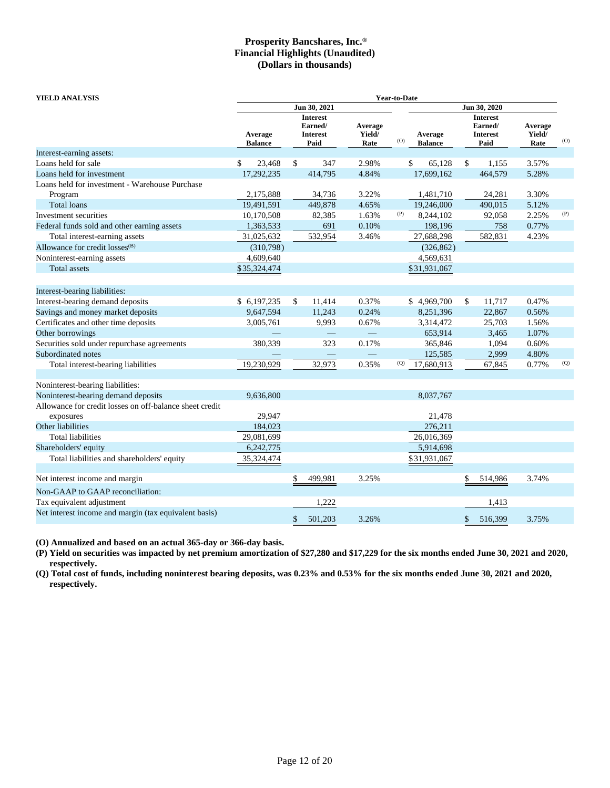| YIELD ANALYSIS                                          |                              |    |                            |                   | Year-to-Date |                |              |                            |                   |                          |
|---------------------------------------------------------|------------------------------|----|----------------------------|-------------------|--------------|----------------|--------------|----------------------------|-------------------|--------------------------|
|                                                         | Jun 30, 2021<br>Jun 30, 2020 |    |                            |                   |              |                |              |                            |                   |                          |
|                                                         |                              |    | <b>Interest</b>            |                   |              |                |              | <b>Interest</b>            |                   |                          |
|                                                         | Average                      |    | Earned/<br><b>Interest</b> | Average<br>Yield/ |              | Average        |              | Earned/<br><b>Interest</b> | Average<br>Yield/ |                          |
|                                                         | <b>Balance</b>               |    | Paid                       | Rate              | (0)          | <b>Balance</b> |              | Paid                       | Rate              | (0)                      |
| Interest-earning assets:                                |                              |    |                            |                   |              |                |              |                            |                   |                          |
| Loans held for sale                                     | \$<br>23,468                 | \$ | 347                        | 2.98%             |              | 65,128<br>\$   | $\mathbb{S}$ | 1,155                      | 3.57%             |                          |
| Loans held for investment                               | 17,292,235                   |    | 414,795                    | 4.84%             |              | 17,699,162     |              | 464,579                    | 5.28%             |                          |
| Loans held for investment - Warehouse Purchase          |                              |    |                            |                   |              |                |              |                            |                   |                          |
| Program                                                 | 2,175,888                    |    | 34,736                     | 3.22%             |              | 1,481,710      |              | 24,281                     | 3.30%             |                          |
| <b>Total loans</b>                                      | 19,491,591                   |    | 449,878                    | 4.65%             |              | 19,246,000     |              | 490,015                    | 5.12%             |                          |
| Investment securities                                   | 10,170,508                   |    | 82,385                     | 1.63%             | (P)          | 8,244,102      |              | 92,058                     | 2.25%             | (P)                      |
| Federal funds sold and other earning assets             | 1,363,533                    |    | 691                        | 0.10%             |              | 198,196        |              | 758                        | 0.77%             |                          |
| Total interest-earning assets                           | 31,025,632                   |    | 532,954                    | 3.46%             |              | 27,688,298     |              | 582,831                    | 4.23%             |                          |
| Allowance for credit losses <sup>(B)</sup>              | (310,798)                    |    |                            |                   |              | (326, 862)     |              |                            |                   |                          |
| Noninterest-earning assets                              | 4,609,640                    |    |                            |                   |              | 4,569,631      |              |                            |                   |                          |
| <b>Total assets</b>                                     | \$35,324,474                 |    |                            |                   |              | \$31,931,067   |              |                            |                   |                          |
|                                                         |                              |    |                            |                   |              |                |              |                            |                   |                          |
| Interest-bearing liabilities:                           |                              |    |                            |                   |              |                |              |                            |                   |                          |
| Interest-bearing demand deposits                        | \$6,197,235                  | \$ | 11,414                     | 0.37%             |              | \$4,969,700    | \$           | 11,717                     | 0.47%             |                          |
| Savings and money market deposits                       | 9,647,594                    |    | 11,243                     | 0.24%             |              | 8,251,396      |              | 22,867                     | 0.56%             |                          |
| Certificates and other time deposits                    | 3,005,761                    |    | 9,993                      | 0.67%             |              | 3,314,472      |              | 25,703                     | 1.56%             |                          |
| Other borrowings                                        |                              |    |                            |                   |              | 653,914        |              | 3,465                      | 1.07%             |                          |
| Securities sold under repurchase agreements             | 380,339                      |    | 323                        | 0.17%             |              | 365,846        |              | 1,094                      | 0.60%             |                          |
| Subordinated notes                                      |                              |    |                            |                   |              | 125,585        |              | 2,999                      | 4.80%             |                          |
| Total interest-bearing liabilities                      | 19,230,929                   |    | 32,973                     | 0.35%             | (Q)          | 17,680,913     |              | 67,845                     | 0.77%             | $\left( \text{Q}\right)$ |
|                                                         |                              |    |                            |                   |              |                |              |                            |                   |                          |
| Noninterest-bearing liabilities:                        |                              |    |                            |                   |              |                |              |                            |                   |                          |
| Noninterest-bearing demand deposits                     | 9,636,800                    |    |                            |                   |              | 8,037,767      |              |                            |                   |                          |
| Allowance for credit losses on off-balance sheet credit |                              |    |                            |                   |              |                |              |                            |                   |                          |
| exposures                                               | 29,947                       |    |                            |                   |              | 21,478         |              |                            |                   |                          |
| Other liabilities                                       | 184,023                      |    |                            |                   |              | 276,211        |              |                            |                   |                          |
| <b>Total liabilities</b>                                | 29,081,699                   |    |                            |                   |              | 26,016,369     |              |                            |                   |                          |
| Shareholders' equity                                    | 6,242,775                    |    |                            |                   |              | 5,914,698      |              |                            |                   |                          |
| Total liabilities and shareholders' equity              | 35,324,474                   |    |                            |                   |              | \$31,931,067   |              |                            |                   |                          |
|                                                         |                              |    |                            |                   |              |                |              |                            |                   |                          |
| Net interest income and margin                          |                              | \$ | 499,981                    | 3.25%             |              |                | \$           | 514,986                    | 3.74%             |                          |
| Non-GAAP to GAAP reconciliation:                        |                              |    |                            |                   |              |                |              |                            |                   |                          |
| Tax equivalent adjustment                               |                              |    | 1,222                      |                   |              |                |              | 1,413                      |                   |                          |
| Net interest income and margin (tax equivalent basis)   |                              | \$ | 501,203                    | 3.26%             |              |                | \$           | 516,399                    | 3.75%             |                          |

**(O) Annualized and based on an actual 365-day or 366-day basis.**

**(P) Yield on securities was impacted by net premium amortization of \$27,280 and \$17,229 for the six months ended June 30, 2021 and 2020, respectively.**

**(Q) Total cost of funds, including noninterest bearing deposits, was 0.23% and 0.53% for the six months ended June 30, 2021 and 2020, respectively.**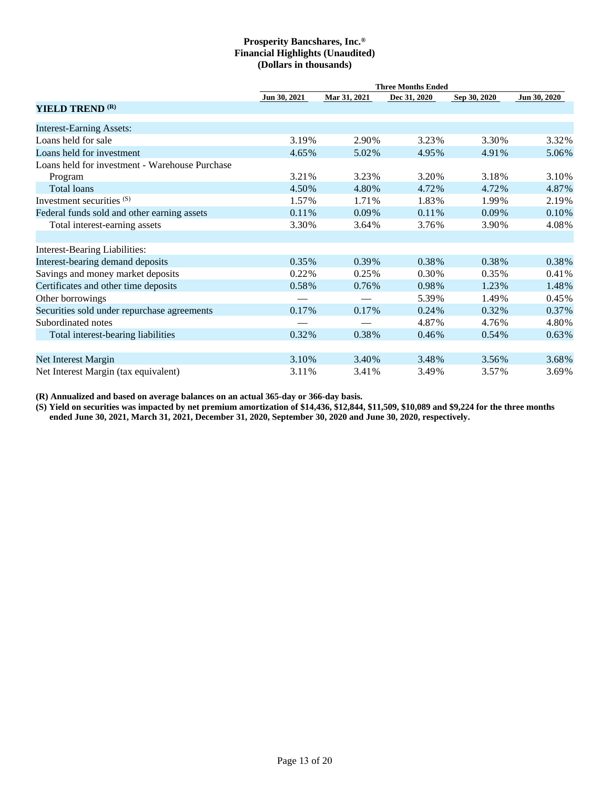|                                                | <b>Three Months Ended</b> |              |              |              |              |  |  |  |  |  |
|------------------------------------------------|---------------------------|--------------|--------------|--------------|--------------|--|--|--|--|--|
|                                                | Jun 30, 2021              | Mar 31, 2021 | Dec 31, 2020 | Sep 30, 2020 | Jun 30, 2020 |  |  |  |  |  |
| YIELD TREND <sup>(R)</sup>                     |                           |              |              |              |              |  |  |  |  |  |
| <b>Interest-Earning Assets:</b>                |                           |              |              |              |              |  |  |  |  |  |
| Loans held for sale                            | 3.19%                     | 2.90%        | 3.23%        | 3.30%        | 3.32%        |  |  |  |  |  |
| Loans held for investment                      | 4.65%                     | 5.02%        | 4.95%        | 4.91%        | 5.06%        |  |  |  |  |  |
| Loans held for investment - Warehouse Purchase |                           |              |              |              |              |  |  |  |  |  |
| Program                                        | 3.21%                     | 3.23%        | 3.20%        | 3.18%        | 3.10%        |  |  |  |  |  |
| Total loans                                    | 4.50%                     | 4.80%        | 4.72%        | 4.72%        | 4.87%        |  |  |  |  |  |
| Investment securities (S)                      | 1.57%                     | 1.71%        | 1.83%        | 1.99%        | 2.19%        |  |  |  |  |  |
| Federal funds sold and other earning assets    | 0.11%                     | $0.09\%$     | 0.11%        | $0.09\%$     | 0.10%        |  |  |  |  |  |
| Total interest-earning assets                  | 3.30%                     | 3.64%        | 3.76%        | 3.90%        | 4.08%        |  |  |  |  |  |
|                                                |                           |              |              |              |              |  |  |  |  |  |
| <b>Interest-Bearing Liabilities:</b>           |                           |              |              |              |              |  |  |  |  |  |
| Interest-bearing demand deposits               | 0.35%                     | 0.39%        | 0.38%        | 0.38%        | 0.38%        |  |  |  |  |  |
| Savings and money market deposits              | 0.22%                     | 0.25%        | 0.30%        | $0.35\%$     | 0.41%        |  |  |  |  |  |
| Certificates and other time deposits           | 0.58%                     | 0.76%        | 0.98%        | 1.23%        | 1.48%        |  |  |  |  |  |
| Other borrowings                               |                           |              | 5.39%        | 1.49%        | 0.45%        |  |  |  |  |  |
| Securities sold under repurchase agreements    | 0.17%                     | 0.17%        | 0.24%        | $0.32\%$     | 0.37%        |  |  |  |  |  |
| Subordinated notes                             |                           |              | 4.87%        | 4.76%        | 4.80%        |  |  |  |  |  |
| Total interest-bearing liabilities             | 0.32%                     | 0.38%        | 0.46%        | 0.54%        | $0.63\%$     |  |  |  |  |  |
|                                                |                           |              |              |              |              |  |  |  |  |  |
| Net Interest Margin                            | 3.10%                     | 3.40%        | 3.48%        | 3.56%        | 3.68%        |  |  |  |  |  |
| Net Interest Margin (tax equivalent)           | 3.11%                     | 3.41%        | 3.49%        | 3.57%        | 3.69%        |  |  |  |  |  |

**(R) Annualized and based on average balances on an actual 365-day or 366-day basis.**

**(S) Yield on securities was impacted by net premium amortization of \$14,436, \$12,844, \$11,509, \$10,089 and \$9,224 for the three months ended June 30, 2021, March 31, 2021, December 31, 2020, September 30, 2020 and June 30, 2020, respectively.**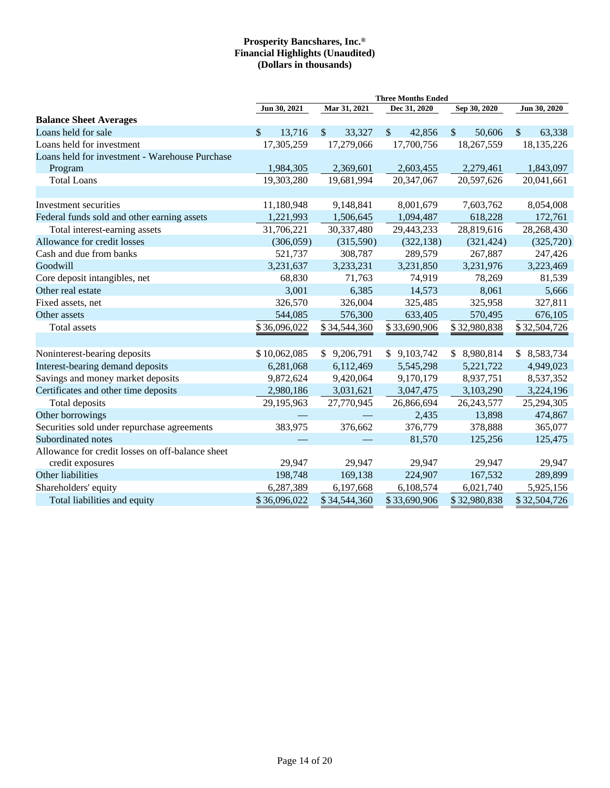|                                                  | <b>Three Months Ended</b> |                         |                        |                         |                           |  |  |  |  |  |
|--------------------------------------------------|---------------------------|-------------------------|------------------------|-------------------------|---------------------------|--|--|--|--|--|
|                                                  | Jun 30, 2021              | Mar 31, 2021            | Dec 31, 2020           | Sep 30, 2020            | Jun 30, 2020              |  |  |  |  |  |
| <b>Balance Sheet Averages</b>                    |                           |                         |                        |                         |                           |  |  |  |  |  |
| Loans held for sale                              | $\mathcal{S}$<br>13,716   | $\mathcal{S}$<br>33,327 | $\mathbb{S}$<br>42,856 | $\mathcal{S}$<br>50,606 | $\mathcal{S}$<br>63,338   |  |  |  |  |  |
| Loans held for investment                        | 17,305,259                | 17,279,066              | 17,700,756             | 18,267,559              | 18,135,226                |  |  |  |  |  |
| Loans held for investment - Warehouse Purchase   |                           |                         |                        |                         |                           |  |  |  |  |  |
| Program                                          | 1,984,305                 | 2,369,601               | 2,603,455              | 2,279,461               | 1,843,097                 |  |  |  |  |  |
| <b>Total Loans</b>                               | 19,303,280                | 19,681,994              | 20,347,067             | 20,597,626              | 20,041,661                |  |  |  |  |  |
|                                                  |                           |                         |                        |                         |                           |  |  |  |  |  |
| Investment securities                            | 11,180,948                | 9,148,841               | 8,001,679              | 7,603,762               | 8,054,008                 |  |  |  |  |  |
| Federal funds sold and other earning assets      | 1,221,993                 | 1,506,645               | 1,094,487              | 618,228                 | 172,761                   |  |  |  |  |  |
| Total interest-earning assets                    | 31,706,221                | 30,337,480              | 29,443,233             | 28,819,616              | 28,268,430                |  |  |  |  |  |
| Allowance for credit losses                      | (306, 059)                | (315,590)               | (322, 138)             | (321, 424)              | (325, 720)                |  |  |  |  |  |
| Cash and due from banks                          | 521,737                   | 308,787                 | 289,579                | 267,887                 | 247,426                   |  |  |  |  |  |
| Goodwill                                         | 3,231,637                 | 3,233,231               | 3,231,850              | 3,231,976               | 3,223,469                 |  |  |  |  |  |
| Core deposit intangibles, net                    | 68,830                    | 71,763                  | 74,919                 | 78,269                  | 81,539                    |  |  |  |  |  |
| Other real estate                                | 3,001                     | 6,385                   | 14,573                 | 8,061                   | 5,666                     |  |  |  |  |  |
| Fixed assets, net                                | 326,570                   | 326,004                 | 325,485                | 325,958                 | 327,811                   |  |  |  |  |  |
| Other assets                                     | 544,085                   | 576,300                 | 633,405                | 570,495                 | 676,105                   |  |  |  |  |  |
| <b>Total assets</b>                              | \$36,096,022              | \$34,544,360            | \$33,690,906           | \$32,980,838            | \$32,504,726              |  |  |  |  |  |
|                                                  |                           |                         |                        |                         |                           |  |  |  |  |  |
| Noninterest-bearing deposits                     | \$10,062,085              | \$9,206,791             | \$9,103,742            | \$8,980,814             | 8,583,734<br>$\mathbb{S}$ |  |  |  |  |  |
| Interest-bearing demand deposits                 | 6,281,068                 | 6,112,469               | 5,545,298              | 5,221,722               | 4,949,023                 |  |  |  |  |  |
| Savings and money market deposits                | 9,872,624                 | 9,420,064               | 9,170,179              | 8,937,751               | 8,537,352                 |  |  |  |  |  |
| Certificates and other time deposits             | 2,980,186                 | 3,031,621               | 3,047,475              | 3,103,290               | 3,224,196                 |  |  |  |  |  |
| Total deposits                                   | 29,195,963                | 27,770,945              | 26,866,694             | 26, 243, 577            | 25,294,305                |  |  |  |  |  |
| Other borrowings                                 |                           |                         | 2,435                  | 13,898                  | 474,867                   |  |  |  |  |  |
| Securities sold under repurchase agreements      | 383,975                   | 376,662                 | 376,779                | 378,888                 | 365,077                   |  |  |  |  |  |
| Subordinated notes                               |                           |                         | 81,570                 | 125,256                 | 125,475                   |  |  |  |  |  |
| Allowance for credit losses on off-balance sheet |                           |                         |                        |                         |                           |  |  |  |  |  |
| credit exposures                                 | 29,947                    | 29,947                  | 29,947                 | 29,947                  | 29,947                    |  |  |  |  |  |
| Other liabilities                                | 198,748                   | 169,138                 | 224,907                | 167,532                 | 289,899                   |  |  |  |  |  |
| Shareholders' equity                             | 6,287,389                 | 6,197,668               | 6,108,574              | 6,021,740               | 5,925,156                 |  |  |  |  |  |
| Total liabilities and equity                     | \$36,096,022              | \$34,544,360            | \$33,690,906           | \$32,980,838            | \$32,504,726              |  |  |  |  |  |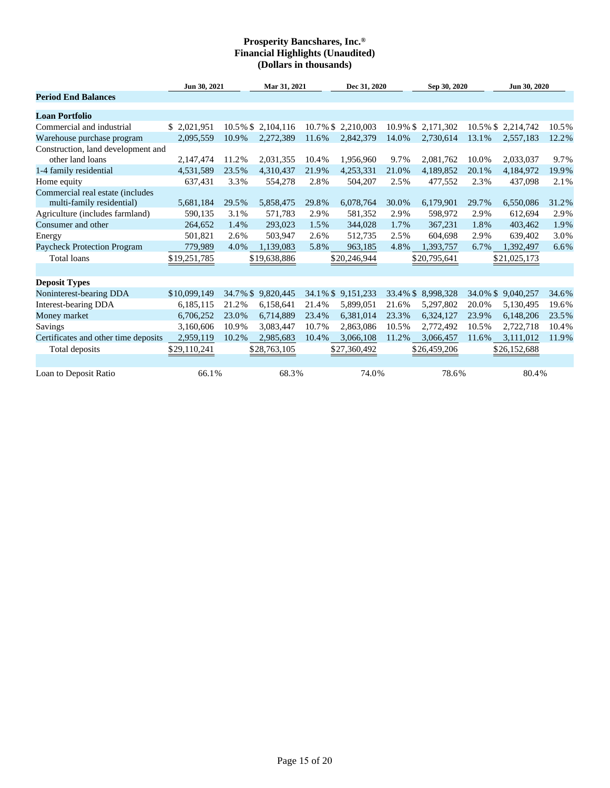|                                                               | Jun 30, 2021 |             | Mar 31, 2021 |          | Dec 31, 2020       |       | Sep 30, 2020      |             | Jun 30, 2020 |       |
|---------------------------------------------------------------|--------------|-------------|--------------|----------|--------------------|-------|-------------------|-------------|--------------|-------|
| <b>Period End Balances</b>                                    |              |             |              |          |                    |       |                   |             |              |       |
| <b>Loan Portfolio</b>                                         |              |             |              |          |                    |       |                   |             |              |       |
| Commercial and industrial                                     | \$2,021,951  | $10.5\%$ \$ | 2,104,116    |          | 10.7% \$ 2,210,003 |       | 10.9% \$2,171,302 | $10.5\%$ \$ | 2,214,742    | 10.5% |
| Warehouse purchase program                                    | 2,095,559    | 10.9%       | 2,272,389    | 11.6%    | 2,842,379          | 14.0% | 2,730,614         | 13.1%       | 2,557,183    | 12.2% |
| Construction, land development and                            |              |             |              |          |                    |       |                   |             |              |       |
| other land loans                                              | 2,147,474    | 11.2%       | 2,031,355    | 10.4%    | 1,956,960          | 9.7%  | 2,081,762         | 10.0%       | 2,033,037    | 9.7%  |
| 1-4 family residential                                        | 4,531,589    | 23.5%       | 4,310,437    | 21.9%    | 4,253,331          | 21.0% | 4.189.852         | 20.1%       | 4,184,972    | 19.9% |
| Home equity                                                   | 637,431      | 3.3%        | 554,278      | 2.8%     | 504,207            | 2.5%  | 477,552           | 2.3%        | 437,098      | 2.1%  |
| Commercial real estate (includes<br>multi-family residential) | 5,681,184    | 29.5%       | 5,858,475    | 29.8%    | 6,078,764          | 30.0% | 6,179,901         | 29.7%       | 6,550,086    | 31.2% |
| Agriculture (includes farmland)                               | 590,135      | 3.1%        | 571,783      | 2.9%     | 581,352            | 2.9%  | 598,972           | 2.9%        | 612,694      | 2.9%  |
| Consumer and other                                            | 264.652      | 1.4%        | 293,023      | 1.5%     | 344,028            | 1.7%  | 367,231           | 1.8%        | 403,462      | 1.9%  |
| Energy                                                        | 501,821      | 2.6%        | 503,947      | 2.6%     | 512,735            | 2.5%  | 604,698           | 2.9%        | 639,402      | 3.0%  |
| <b>Paycheck Protection Program</b>                            | 779,989      | 4.0%        | 1,139,083    | 5.8%     | 963,185            | 4.8%  | 1,393,757         | 6.7%        | 1,392,497    | 6.6%  |
| Total loans                                                   | \$19,251,785 |             | \$19,638,886 |          | \$20,246,944       |       | \$20,795,641      |             | \$21,025,173 |       |
|                                                               |              |             |              |          |                    |       |                   |             |              |       |
| <b>Deposit Types</b>                                          |              |             |              |          |                    |       |                   |             |              |       |
| Noninterest-bearing DDA                                       | \$10,099,149 | 34.7% \$    | 9,820,445    | 34.1% \$ | 9,151,233          |       | 33.4% \$8,998,328 | 34.0% \$    | 9,040,257    | 34.6% |
| Interest-bearing DDA                                          | 6,185,115    | 21.2%       | 6,158,641    | 21.4%    | 5,899,051          | 21.6% | 5,297,802         | 20.0%       | 5,130,495    | 19.6% |
| Money market                                                  | 6,706,252    | 23.0%       | 6,714,889    | 23.4%    | 6,381,014          | 23.3% | 6,324,127         | 23.9%       | 6,148,206    | 23.5% |
| Savings                                                       | 3,160,606    | 10.9%       | 3,083,447    | 10.7%    | 2,863,086          | 10.5% | 2,772,492         | 10.5%       | 2,722,718    | 10.4% |
| Certificates and other time deposits                          | 2,959,119    | 10.2%       | 2,985,683    | 10.4%    | 3,066,108          | 11.2% | 3,066,457         | 11.6%       | 3,111,012    | 11.9% |
| Total deposits                                                | \$29,110,241 |             | \$28,763,105 |          | \$27,360,492       |       | \$26,459,206      |             | \$26,152,688 |       |
| Loan to Deposit Ratio                                         | 66.1%        |             | 68.3%        |          | 74.0%              |       | 78.6%             |             | 80.4%        |       |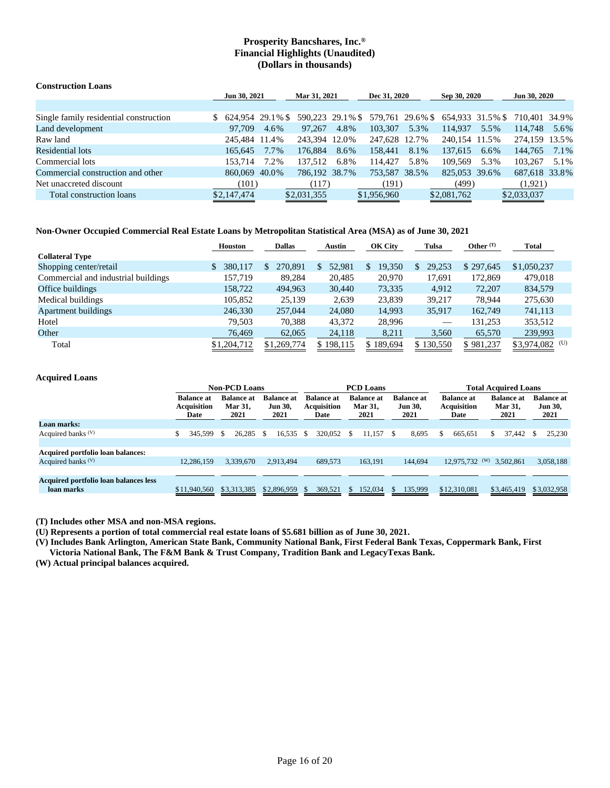| <b>Construction Loans</b>              |                  |                  |                  |                    |                                |
|----------------------------------------|------------------|------------------|------------------|--------------------|--------------------------------|
|                                        | Jun 30, 2021     | Mar 31, 2021     | Dec 31, 2020     | Sep 30, 2020       | <b>Jun 30, 2020</b>            |
|                                        |                  |                  |                  |                    |                                |
| Single family residential construction | $$624.95429.1\%$ | 590.223 29.1% \$ | 579,761 29.6% \$ |                    | 654.933 31.5% \$ 710.401 34.9% |
| Land development                       | 97,709<br>4.6%   | 4.8%<br>97.267   | 5.3%<br>103,307  | 114,937<br>5.5%    | 114,748<br>5.6%                |
| Raw land                               | 245,484 11.4%    | 243,394 12.0%    | 247,628 12.7%    | 240,154 11.5%      | 274.159 13.5%                  |
| <b>Residential lots</b>                | 165.645<br>7.7%  | 176,884<br>8.6%  | 158,441<br>8.1%  | 137.615<br>$6.6\%$ | 7.1%<br>144,765                |
| Commercial lots                        | 7.2%<br>153.714  | 137.512<br>6.8%  | 114,427<br>5.8%  | 5.3%<br>109.569    | 103.267<br>5.1%                |
| Commercial construction and other      | 860,069 40.0%    | 786,192 38.7%    | 753,587 38.5%    | 825,053 39.6%      | 687,618 33.8%                  |
| Net unaccreted discount                | (101)            | (117)            | (191)            | (499)              | (1,921)                        |
| Total construction loans               | \$2,147,474      | \$2,031,355      | \$1,956,960      | \$2,081,762        | \$2,033,037                    |

### **Non-Owner Occupied Commercial Real Estate Loans by Metropolitan Statistical Area (MSA) as of June 30, 2021**

|                                     | Dallas<br>Houston |               | <b>Austin</b> | OK City   | Tulsa         | Other $(T)$ | Total            |
|-------------------------------------|-------------------|---------------|---------------|-----------|---------------|-------------|------------------|
| <b>Collateral Type</b>              |                   |               |               |           |               |             |                  |
| Shopping center/retail              | 380,117           | 270.891<br>S. | 52,981<br>S.  | 19,350    | 29.253<br>\$. | \$297,645   | \$1,050,237      |
| Commercial and industrial buildings | 157.719           | 89,284        | 20,485        | 20,970    | 17,691        | 172,869     | 479,018          |
| Office buildings                    | 158,722           | 494,963       | 30,440        | 73,335    | 4,912         | 72,207      | 834,579          |
| Medical buildings                   | 105.852           | 25,139        | 2,639         | 23,839    | 39.217        | 78,944      | 275,630          |
| <b>Apartment buildings</b>          | 246,330           | 257,044       | 24,080        | 14,993    | 35,917        | 162,749     | 741,113          |
| Hotel                               | 79.503            | 70,388        | 43,372        | 28,996    | __            | 131.253     | 353,512          |
| Other                               | 76,469            | 62,065        | 24,118        | 8,211     | 3.560         | 65,570      | 239,993          |
| Total                               | \$1,204,712       | \$1,269,774   | \$198,115     | \$189,694 | \$130,550     | \$981,237   | $$3,974,082$ (U) |

### **Acquired Loans**

|                                                 |                                             |                                             |                                                 |                                             |                                             | <b>Total Acquired Loans</b>                     |                                      |                                             |  |
|-------------------------------------------------|---------------------------------------------|---------------------------------------------|-------------------------------------------------|---------------------------------------------|---------------------------------------------|-------------------------------------------------|--------------------------------------|---------------------------------------------|--|
| <b>Balance at</b><br><b>Acquisition</b><br>Date | <b>Balance at</b><br><b>Mar 31.</b><br>2021 | <b>Balance at</b><br><b>Jun 30,</b><br>2021 | <b>Balance at</b><br><b>Acquisition</b><br>Date | <b>Balance</b> at<br><b>Mar 31.</b><br>2021 | <b>Balance at</b><br><b>Jun 30,</b><br>2021 | <b>Balance at</b><br><b>Acquisition</b><br>Date | <b>Balance at</b><br>Mar 31,<br>2021 | <b>Balance at</b><br><b>Jun 30,</b><br>2021 |  |
|                                                 |                                             |                                             |                                                 |                                             |                                             |                                                 |                                      |                                             |  |
| S.<br>345.599                                   |                                             |                                             |                                                 |                                             | 8,695                                       | 665,651<br><b>S</b>                             | 37.442<br>S                          | 25,230                                      |  |
|                                                 |                                             |                                             |                                                 |                                             |                                             |                                                 |                                      |                                             |  |
|                                                 |                                             |                                             |                                                 |                                             |                                             |                                                 |                                      |                                             |  |
| 12.286.159                                      | 3,339,670                                   | 2.913.494                                   | 689,573                                         | 163,191                                     | 144.694                                     |                                                 |                                      | 3,058,188                                   |  |
|                                                 |                                             |                                             |                                                 |                                             |                                             |                                                 |                                      |                                             |  |
| \$11,940,560                                    | \$3,313,385                                 | \$2,896,959                                 | 369,521                                         | 152,034<br>S.                               | 135,999                                     | \$12,310,081                                    | \$3,465,419                          | \$3,032,958                                 |  |
|                                                 |                                             |                                             | <b>Non-PCD Loans</b><br>26.285 \$               | 16,535 \$                                   | 320,052 \$                                  | <b>PCD Loans</b><br>11.157 S                    |                                      | $12,975,732$ (W) 3,502,861                  |  |

**(T) Includes other MSA and non-MSA regions.**

**(U) Represents a portion of total commercial real estate loans of \$5.681 billion as of June 30, 2021.**

**(V) Includes Bank Arlington, American State Bank, Community National Bank, First Federal Bank Texas, Coppermark Bank, First Victoria National Bank, The F&M Bank & Trust Company, Tradition Bank and LegacyTexas Bank.**

**(W) Actual principal balances acquired.**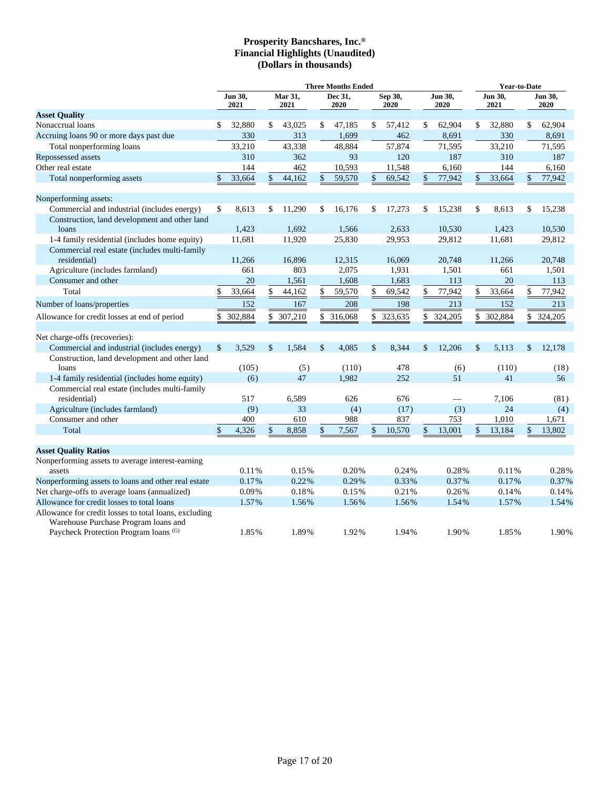|                                                                                                                                                   |               | <b>Three Months Ended</b> |               |                 |    |                 |    |                 |     |                 | <b>Year-to-Date</b> |                 |    |                 |
|---------------------------------------------------------------------------------------------------------------------------------------------------|---------------|---------------------------|---------------|-----------------|----|-----------------|----|-----------------|-----|-----------------|---------------------|-----------------|----|-----------------|
|                                                                                                                                                   |               | Jun 30,<br>2021           |               | Mar 31,<br>2021 |    | Dec 31,<br>2020 |    | Sep 30,<br>2020 |     | Jun 30,<br>2020 |                     | Jun 30,<br>2021 |    | Jun 30,<br>2020 |
| <b>Asset Quality</b>                                                                                                                              |               |                           |               |                 |    |                 |    |                 |     |                 |                     |                 |    |                 |
| Nonaccrual loans                                                                                                                                  | \$            | 32,880                    | \$            | 43,025          | \$ | 47,185          | \$ | 57,412          | \$  | 62,904          | \$                  | 32,880          | \$ | 62,904          |
| Accruing loans 90 or more days past due                                                                                                           |               | 330                       |               | 313             |    | 1.699           |    | 462             |     | 8,691           |                     | 330             |    | 8,691           |
| Total nonperforming loans                                                                                                                         |               | 33,210                    |               | 43,338          |    | 48,884          |    | 57,874          |     | 71,595          |                     | 33,210          |    | 71,595          |
| Repossessed assets                                                                                                                                |               | 310                       |               | 362             |    | 93              |    | 120             |     | 187             |                     | 310             |    | 187             |
| Other real estate                                                                                                                                 |               | 144                       |               | 462             |    | 10,593          |    | 11,548          |     | 6,160           |                     | 144             |    | 6,160           |
| Total nonperforming assets                                                                                                                        | \$            | 33,664                    | <sup>\$</sup> | 44,162          | \$ | 59,570          | \$ | 69,542          | \$. | 77,942          | \$                  | 33,664          | \$ | 77,942          |
| Nonperforming assets:                                                                                                                             |               |                           |               |                 |    |                 |    |                 |     |                 |                     |                 |    |                 |
| Commercial and industrial (includes energy)                                                                                                       | \$            | 8,613                     | \$            | 11,290          | \$ | 16,176          | \$ | 17,273          | \$  | 15,238          | \$                  | 8,613           | \$ | 15,238          |
| Construction, land development and other land                                                                                                     |               |                           |               |                 |    |                 |    |                 |     |                 |                     |                 |    |                 |
| loans                                                                                                                                             |               | 1,423                     |               | 1,692           |    | 1,566           |    | 2,633           |     | 10,530          |                     | 1,423           |    | 10,530          |
| 1-4 family residential (includes home equity)                                                                                                     |               | 11,681                    |               | 11,920          |    | 25,830          |    | 29,953          |     | 29,812          |                     | 11,681          |    | 29,812          |
| Commercial real estate (includes multi-family                                                                                                     |               |                           |               |                 |    |                 |    |                 |     |                 |                     |                 |    |                 |
| residential)                                                                                                                                      |               | 11,266                    |               | 16,896          |    | 12,315          |    | 16,069          |     | 20,748          |                     | 11,266          |    | 20,748          |
| Agriculture (includes farmland)                                                                                                                   |               | 661                       |               | 803             |    | 2,075           |    | 1,931           |     | 1,501           |                     | 661             |    | 1,501           |
| Consumer and other                                                                                                                                |               | 20                        |               | 1,561           |    | 1,608           |    | 1,683           |     | 113             |                     | 20              |    | 113             |
| Total                                                                                                                                             | \$            | 33,664                    | \$            | 44,162          | \$ | 59,570          | \$ | 69,542          | \$  | 77,942          | \$                  | 33,664          | \$ | 77,942          |
| Number of loans/properties                                                                                                                        |               | 152                       |               | 167             |    | 208             |    | 198             |     | 213             |                     | 152             |    | 213             |
| Allowance for credit losses at end of period                                                                                                      | \$            | 302,884                   |               | \$ 307,210      | \$ | 316,068         |    | \$ 323,635      | \$  | 324,205         | \$                  | 302,884         |    | \$ 324,205      |
| Net charge-offs (recoveries):                                                                                                                     |               |                           |               |                 |    |                 |    |                 |     |                 |                     |                 |    |                 |
| Commercial and industrial (includes energy)                                                                                                       | $\mathsf{\$}$ | 3,529                     | \$            | 1,584           | \$ | 4,085           | \$ | 8,344           | \$  | 12,206          | $\mathcal{S}$       | 5,113           | \$ | 12,178          |
| Construction, land development and other land                                                                                                     |               |                           |               |                 |    |                 |    |                 |     |                 |                     |                 |    |                 |
| loans                                                                                                                                             |               | (105)                     |               | (5)             |    | (110)           |    | 478             |     | (6)             |                     | (110)           |    | (18)            |
| 1-4 family residential (includes home equity)                                                                                                     |               | (6)                       |               | 47              |    | 1,982           |    | 252             |     | 51              |                     | 41              |    | 56              |
| Commercial real estate (includes multi-family                                                                                                     |               |                           |               |                 |    |                 |    |                 |     |                 |                     |                 |    |                 |
| residential)                                                                                                                                      |               | 517                       |               | 6,589           |    | 626             |    | 676             |     |                 |                     | 7.106           |    | (81)            |
| Agriculture (includes farmland)                                                                                                                   |               | (9)                       |               | 33              |    | (4)             |    | (17)            |     | (3)             |                     | 24              |    | (4)             |
| Consumer and other                                                                                                                                |               | 400                       |               | 610             |    | 988             |    | 837             |     | 753             |                     | 1,010           |    | 1,671           |
| Total                                                                                                                                             | \$            | 4,326                     | \$            | 8,858           |    | 7,567           |    | 10,570          |     | 13,001          | \$                  | 13,184          | \$ | 13,802          |
| <b>Asset Quality Ratios</b>                                                                                                                       |               |                           |               |                 |    |                 |    |                 |     |                 |                     |                 |    |                 |
| Nonperforming assets to average interest-earning                                                                                                  |               |                           |               |                 |    |                 |    |                 |     |                 |                     |                 |    |                 |
| assets                                                                                                                                            |               | 0.11%                     |               | 0.15%           |    | 0.20%           |    | 0.24%           |     | 0.28%           |                     | 0.11%           |    | 0.28%           |
| Nonperforming assets to loans and other real estate                                                                                               |               | 0.17%                     |               | 0.22%           |    | 0.29%           |    | 0.33%           |     | 0.37%           |                     | 0.17%           |    | 0.37%           |
| Net charge-offs to average loans (annualized)                                                                                                     |               | 0.09%                     |               | 0.18%           |    | 0.15%           |    | 0.21%           |     | 0.26%           |                     | 0.14%           |    | 0.14%           |
| Allowance for credit losses to total loans                                                                                                        |               | 1.57%                     |               | 1.56%           |    | 1.56%           |    | 1.56%           |     | 1.54%           |                     | 1.57%           |    | 1.54%           |
| Allowance for credit losses to total loans, excluding<br>Warehouse Purchase Program loans and<br>Paycheck Protection Program loans <sup>(G)</sup> |               | 1.85%                     |               | 1.89%           |    | 1.92%           |    | 1.94%           |     | 1.90%           |                     | 1.85%           |    | 1.90%           |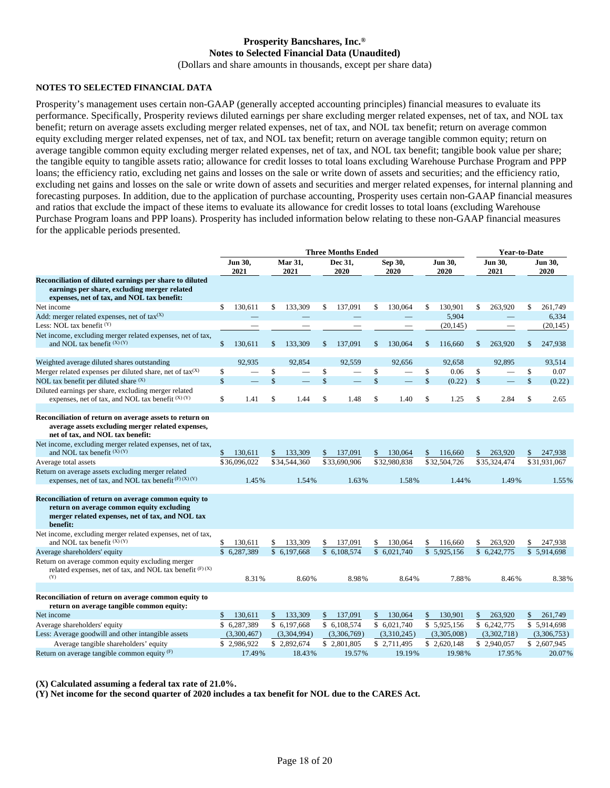# **Prosperity Bancshares, Inc.® Notes to Selected Financial Data (Unaudited)**

(Dollars and share amounts in thousands, except per share data)

### **NOTES TO SELECTED FINANCIAL DATA**

Prosperity's management uses certain non-GAAP (generally accepted accounting principles) financial measures to evaluate its performance. Specifically, Prosperity reviews diluted earnings per share excluding merger related expenses, net of tax, and NOL tax benefit; return on average assets excluding merger related expenses, net of tax, and NOL tax benefit; return on average common equity excluding merger related expenses, net of tax, and NOL tax benefit; return on average tangible common equity; return on average tangible common equity excluding merger related expenses, net of tax, and NOL tax benefit; tangible book value per share; the tangible equity to tangible assets ratio; allowance for credit losses to total loans excluding Warehouse Purchase Program and PPP loans; the efficiency ratio, excluding net gains and losses on the sale or write down of assets and securities; and the efficiency ratio, excluding net gains and losses on the sale or write down of assets and securities and merger related expenses, for internal planning and forecasting purposes. In addition, due to the application of purchase accounting, Prosperity uses certain non-GAAP financial measures and ratios that exclude the impact of these items to evaluate its allowance for credit losses to total loans (excluding Warehouse Purchase Program loans and PPP loans). Prosperity has included information below relating to these non-GAAP financial measures for the applicable periods presented.

|                                                                                                                                                                   | <b>Three Months Ended</b> |                          |                        |              |                 |                          |                 |                          |                    | <b>Year-to-Date</b> |                 |              |    |                 |
|-------------------------------------------------------------------------------------------------------------------------------------------------------------------|---------------------------|--------------------------|------------------------|--------------|-----------------|--------------------------|-----------------|--------------------------|--------------------|---------------------|-----------------|--------------|----|-----------------|
|                                                                                                                                                                   | Jun 30,<br>2021           |                          | <b>Mar 31,</b><br>2021 |              | Dec 31,<br>2020 |                          | Sep 30,<br>2020 |                          | Jun 30,<br>2020    |                     | Jun 30,<br>2021 |              |    | Jun 30,<br>2020 |
| Reconciliation of diluted earnings per share to diluted<br>earnings per share, excluding merger related<br>expenses, net of tax, and NOL tax benefit:             |                           |                          |                        |              |                 |                          |                 |                          |                    |                     |                 |              |    |                 |
| Net income                                                                                                                                                        | \$                        | 130.611                  | \$                     | 133,309      | \$              | 137.091                  | \$              | 130,064                  | \$                 | 130.901             | \$              | 263.920      | \$ | 261.749         |
| Add: merger related expenses, net of $tax^{(X)}$                                                                                                                  |                           |                          |                        |              |                 |                          |                 |                          |                    | 5,904               |                 |              |    | 6,334           |
| Less: NOL tax benefit $(Y)$                                                                                                                                       |                           |                          |                        |              |                 |                          |                 |                          |                    | (20, 145)           |                 |              |    | (20, 145)       |
| Net income, excluding merger related expenses, net of tax,<br>and NOL tax benefit $(X)$ $(Y)$                                                                     | \$                        | 130,611                  | \$                     | 133,309      | \$              | 137,091                  | \$              | 130,064                  | \$                 | 116,660             | \$              | 263,920      | \$ | 247,938         |
| Weighted average diluted shares outstanding                                                                                                                       |                           | 92.935                   |                        | 92.854       |                 | 92.559                   |                 | 92.656                   |                    | 92.658              |                 | 92.895       |    | 93.514          |
| Merger related expenses per diluted share, net of $tax^{(X)}$                                                                                                     | \$                        | $\overline{\phantom{0}}$ | \$                     |              | \$              | $\overline{\phantom{0}}$ | \$              | $\overline{\phantom{0}}$ | \$                 | 0.06                | \$              |              | \$ | 0.07            |
| NOL tax benefit per diluted share (X)                                                                                                                             | $\mathsf{\$}$             |                          | $\mathbf{\hat{S}}$     |              | \$              |                          | $\mathsf{\$}$   |                          | $\mathbf{\hat{S}}$ | (0.22)              | \$              |              | \$ | (0.22)          |
| Diluted earnings per share, excluding merger related<br>expenses, net of tax, and NOL tax benefit $(X)$ $(Y)$                                                     | \$                        | 1.41                     | \$                     | 1.44         | \$              | 1.48                     | \$              | 1.40                     | \$                 | 1.25                | \$              | 2.84         | \$ | 2.65            |
|                                                                                                                                                                   |                           |                          |                        |              |                 |                          |                 |                          |                    |                     |                 |              |    |                 |
| Reconciliation of return on average assets to return on<br>average assets excluding merger related expenses,<br>net of tax, and NOL tax benefit:                  |                           |                          |                        |              |                 |                          |                 |                          |                    |                     |                 |              |    |                 |
| Net income, excluding merger related expenses, net of tax,<br>and NOL tax benefit $(X) (Y)$                                                                       | \$                        | 130,611                  | \$                     | 133,309      | \$              | 137,091                  | \$              | 130,064                  | \$                 | 116,660             |                 | 263.920      | \$ | 247,938         |
| Average total assets                                                                                                                                              |                           | \$36,096,022             |                        | \$34,544,360 |                 | \$33,690,906             |                 | \$32,980,838             |                    | \$32,504,726        |                 | \$35,324,474 |    | \$31,931,067    |
| Return on average assets excluding merger related                                                                                                                 |                           |                          |                        |              |                 |                          |                 |                          |                    |                     |                 |              |    |                 |
| expenses, net of tax, and NOL tax benefit $(F)(X)(Y)$                                                                                                             |                           | 1.45%                    |                        | 1.54%        |                 | 1.63%                    |                 | 1.58%                    |                    | 1.44%               |                 | 1.49%        |    | 1.55%           |
| Reconciliation of return on average common equity to<br>return on average common equity excluding<br>merger related expenses, net of tax, and NOL tax<br>benefit: |                           |                          |                        |              |                 |                          |                 |                          |                    |                     |                 |              |    |                 |
| Net income, excluding merger related expenses, net of tax,<br>and NOL tax benefit $(X) (Y)$                                                                       | \$                        | 130,611                  | \$                     | 133,309      | \$              | 137,091                  | S               | 130,064                  | \$                 | 116,660             | \$              | 263,920      | \$ | 247,938         |
| Average shareholders' equity                                                                                                                                      |                           | \$6,287,389              |                        | \$6,197,668  |                 | \$6,108,574              |                 | \$6,021,740              |                    | \$5,925,156         |                 | \$ 6.242,775 |    | \$5.914.698     |
| Return on average common equity excluding merger<br>related expenses, net of tax, and NOL tax benefit $(F)$ (X)<br>(Y)                                            |                           | 8.31%                    |                        | 8.60%        |                 | 8.98%                    |                 | 8.64%                    |                    | 7.88%               |                 | 8.46%        |    | 8.38%           |
|                                                                                                                                                                   |                           |                          |                        |              |                 |                          |                 |                          |                    |                     |                 |              |    |                 |
| Reconciliation of return on average common equity to<br>return on average tangible common equity:                                                                 |                           |                          |                        |              |                 |                          |                 |                          |                    |                     |                 |              |    |                 |
| Net income                                                                                                                                                        | \$                        | 130,611                  | \$                     | 133,309      | \$              | 137.091                  | \$              | 130,064                  | \$                 | 130,901             | \$              | 263,920      | \$ | 261,749         |
| Average shareholders' equity                                                                                                                                      |                           | \$6,287,389              |                        | \$ 6,197,668 |                 | \$6,108,574              |                 | \$ 6,021,740             |                    | \$5,925,156         |                 | \$ 6,242,775 |    | \$5,914,698     |
| Less: Average goodwill and other intangible assets                                                                                                                |                           | (3,300,467)              |                        | (3,304,994)  |                 | (3,306,769)              |                 | (3,310,245)              |                    | (3,305,008)         |                 | (3,302,718)  |    | (3,306,753)     |
| Average tangible shareholders' equity                                                                                                                             |                           | \$2,986,922              |                        | \$2,892,674  |                 | \$2,801,805              |                 | \$2,711,495              |                    | \$2,620,148         |                 | \$2,940,057  |    | \$2,607,945     |
| Return on average tangible common equity $(F)$                                                                                                                    |                           | 17.49%                   |                        | 18.43%       |                 | 19.57%                   |                 | 19.19%                   |                    | 19.98%              |                 | 17.95%       |    | 20.07%          |

**(X) Calculated assuming a federal tax rate of 21.0%.**

**(Y) Net income for the second quarter of 2020 includes a tax benefit for NOL due to the CARES Act.**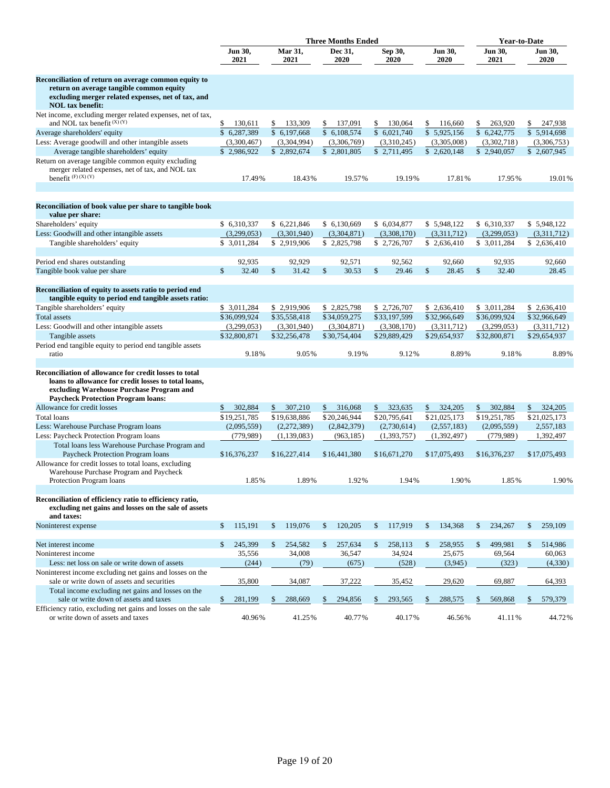|                                                                                                                                                                                                         |                          | <b>Three Months Ended</b> | <b>Year-to-Date</b>     |                          |                       |                         |                         |
|---------------------------------------------------------------------------------------------------------------------------------------------------------------------------------------------------------|--------------------------|---------------------------|-------------------------|--------------------------|-----------------------|-------------------------|-------------------------|
|                                                                                                                                                                                                         | Jun 30,<br>2021          | Mar 31,<br>2021           | Dec 31,<br>2020         | Sep 30,<br>2020          | Jun 30,<br>2020       | Jun 30,<br>2021         | Jun 30,<br>2020         |
| Reconciliation of return on average common equity to<br>return on average tangible common equity<br>excluding merger related expenses, net of tax, and<br><b>NOL</b> tax benefit:                       |                          |                           |                         |                          |                       |                         |                         |
| Net income, excluding merger related expenses, net of tax,<br>and NOL tax benefit $(X)$ $(Y)$                                                                                                           | \$<br>130,611            | 133,309<br>\$             | \$<br>137,091           | 130,064<br>\$            | \$<br>116,660         | \$<br>263,920           | 247,938<br>\$           |
| Average shareholders' equity                                                                                                                                                                            | \$6,287,389              | \$6,197,668               | \$ 6,108,574            | \$6,021,740              | \$5,925,156           | \$6,242,775             | \$5,914,698             |
| Less: Average goodwill and other intangible assets                                                                                                                                                      | (3,300,467)              | (3,304,994)               | (3,306,769)             | (3,310,245)              | (3,305,008)           | (3,302,718)             | (3,306,753)             |
| Average tangible shareholders' equity                                                                                                                                                                   | \$2,986,922              | \$2,892,674               | \$2,801,805             | \$2,711,495              | \$2,620,148           | \$2,940,057             | \$2,607,945             |
| Return on average tangible common equity excluding<br>merger related expenses, net of tax, and NOL tax<br>benefit $(F)$ $(X)$ $(Y)$                                                                     | 17.49%                   | 18.43%                    | 19.57%                  | 19.19%                   | 17.81%                | 17.95%                  | 19.01%                  |
| Reconciliation of book value per share to tangible book<br>value per share:                                                                                                                             |                          |                           |                         |                          |                       |                         |                         |
| Shareholders' equity                                                                                                                                                                                    | \$ 6,310,337             | \$6,221,846               | \$6,130,669             | \$ 6,034,877             | \$5,948,122           | \$6,310,337             | \$5,948,122             |
| Less: Goodwill and other intangible assets                                                                                                                                                              | (3,299,053)              | (3,301,940)               | (3,304,871)             | (3,308,170)              | (3,311,712)           | (3,299,053)             | (3,311,712)             |
| Tangible shareholders' equity                                                                                                                                                                           | \$ 3,011,284             | \$2,919,906               | \$2,825,798             | \$2,726,707              | \$2,636,410           | \$ 3,011,284            | \$2,636,410             |
| Period end shares outstanding                                                                                                                                                                           | 92,935                   | 92,929                    | 92,571                  | 92,562                   | 92,660                | 92,935                  | 92,660                  |
| Tangible book value per share                                                                                                                                                                           | $\mathsf{\$}$<br>32.40   | \$<br>31.42               | \$<br>30.53             | \$<br>29.46              | \$<br>28.45           | $\mathbf{\$}$<br>32.40  | 28.45                   |
| Reconciliation of equity to assets ratio to period end<br>tangible equity to period end tangible assets ratio:                                                                                          |                          |                           |                         |                          |                       |                         |                         |
| Tangible shareholders' equity                                                                                                                                                                           | \$ 3,011,284             | \$2,919,906               | \$2,825,798             | \$2,726,707              | \$2,636,410           | \$3,011,284             | \$2,636,410             |
| <b>Total</b> assets                                                                                                                                                                                     | \$36,099,924             | \$35,558,418              | \$34,059,275            | \$33,197,599             | \$32,966,649          | \$36,099,924            | \$32,966,649            |
| Less: Goodwill and other intangible assets                                                                                                                                                              | (3,299,053)              | (3,301,940)               | (3,304,871)             | (3,308,170)              | (3,311,712)           | (3,299,053)             | (3,311,712)             |
| Tangible assets<br>Period end tangible equity to period end tangible assets                                                                                                                             | \$32,800,871             | \$32,256,478              | \$30,754,404            | \$29,889,429             | \$29,654,937          | \$32,800,871            | \$29,654,937            |
| ratio                                                                                                                                                                                                   | 9.18%                    | 9.05%                     | 9.19%                   | 9.12%                    | 8.89%                 | 9.18%                   | 8.89%                   |
| Reconciliation of allowance for credit losses to total<br>loans to allowance for credit losses to total loans,<br>excluding Warehouse Purchase Program and<br><b>Paycheck Protection Program loans:</b> |                          |                           |                         |                          |                       |                         |                         |
| Allowance for credit losses                                                                                                                                                                             | 302,884<br>\$            | 307,210<br>\$             | \$<br>316,068           | 323,635<br>\$            | 324,205<br>\$.        | 302,884<br>\$           | \$<br>324,205           |
| <b>Total loans</b>                                                                                                                                                                                      | \$19,251,785             | \$19,638,886              | \$20,246,944            | \$20,795,641             | \$21,025,173          | \$19,251,785            | \$21,025,173            |
| Less: Warehouse Purchase Program loans                                                                                                                                                                  | (2,095,559)              | (2,272,389)               | (2,842,379)             | (2,730,614)              | (2,557,183)           | (2,095,559)             | 2,557,183               |
| Less: Paycheck Protection Program loans<br>Total loans less Warehouse Purchase Program and                                                                                                              | (779, 989)               | (1,139,083)               | (963, 185)              | (1,393,757)              | (1,392,497)           | (779, 989)              | 1,392,497               |
| Paycheck Protection Program loans<br>Allowance for credit losses to total loans, excluding<br>Warehouse Purchase Program and Paycheck<br>Protection Program loans                                       | \$16,376,237<br>1.85%    | \$16,227,414<br>1.89%     | \$16,441,380<br>1.92%   | \$16,671,270<br>1.94%    | \$17,075,493<br>1.90% | \$16,376,237<br>1.85%   | \$17,075,493<br>1.90%   |
|                                                                                                                                                                                                         |                          |                           |                         |                          |                       |                         |                         |
| Reconciliation of efficiency ratio to efficiency ratio,<br>excluding net gains and losses on the sale of assets<br>and taxes:                                                                           |                          |                           |                         |                          |                       |                         |                         |
| Noninterest expense                                                                                                                                                                                     | $\mathsf{\$}$<br>115,191 | \$<br>119,076             | $\mathbb{S}$<br>120,205 | $\mathcal{S}$<br>117,919 | \$<br>134,368         | \$<br>234,267           | \$<br>259,109           |
| Net interest income                                                                                                                                                                                     | 245,399<br>\$            | 254,582<br>$\mathbb{S}$   | 257,634<br>$\mathbb{S}$ | 258,113<br>\$            | 258,955<br>\$         | $\mathbb{S}$<br>499,981 | $\mathbb{S}$<br>514,986 |
| Noninterest income                                                                                                                                                                                      | 35,556                   | 34,008                    | 36,547                  | 34,924                   | 25,675                | 69,564                  | 60,063                  |
| Less: net loss on sale or write down of assets                                                                                                                                                          | (244)                    | (79)                      | (675)                   | (528)                    | (3,945)               | (323)                   | (4,330)                 |
| Noninterest income excluding net gains and losses on the                                                                                                                                                |                          |                           |                         |                          |                       |                         |                         |
| sale or write down of assets and securities                                                                                                                                                             | 35,800                   | 34,087                    | 37,222                  | 35,452                   | 29,620                | 69,887                  | 64,393                  |
| Total income excluding net gains and losses on the<br>sale or write down of assets and taxes                                                                                                            | \$<br>281,199            | \$<br>288,669             | \$<br>294,856           | $\mathbf{\$}$<br>293,565 | \$<br>288,575         | \$<br>569,868           | \$<br>579,379           |
| Efficiency ratio, excluding net gains and losses on the sale<br>or write down of assets and taxes                                                                                                       | 40.96%                   | 41.25%                    | 40.77%                  | 40.17%                   | 46.56%                | 41.11%                  | 44.72%                  |